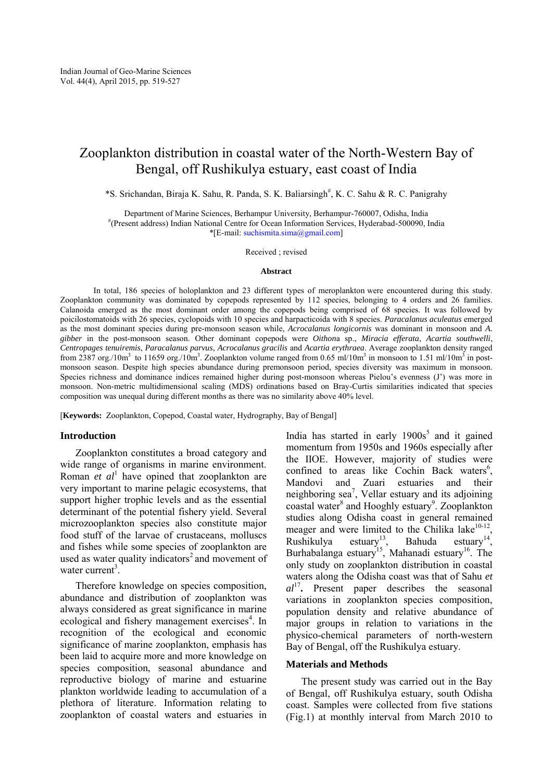# Zooplankton distribution in coastal water of the North-Western Bay of Bengal, off Rushikulya estuary, east coast of India

\*S. Srichandan, Biraja K. Sahu, R. Panda, S. K. Baliarsingh<sup>#</sup>, K. C. Sahu & R. C. Panigrahy

Department of Marine Sciences, Berhampur University, Berhampur-760007, Odisha, India # (Present address) Indian National Centre for Ocean Information Services, Hyderabad-500090, India \*[E-mail[: suchismita.sima@gmail.com\]](mailto:suchismita.sima@gmail.com)

Received ; revised

#### **Abstract**

In total, 186 species of holoplankton and 23 different types of meroplankton were encountered during this study. Zooplankton community was dominated by copepods represented by 112 species, belonging to 4 orders and 26 families. Calanoida emerged as the most dominant order among the copepods being comprised of 68 species. It was followed by poicilostomatoids with 26 species, cyclopoids with 10 species and harpacticoida with 8 species. *Paracalanus aculeatus* emerged as the most dominant species during pre-monsoon season while, *Acrocalanus longicornis* was dominant in monsoon and *A. gibber* in the post-monsoon season. Other dominant copepods were *Oithon*a sp., *Miracia efferata*, *Acartia southwelli*, *Centropages tenuiremis*, *Paracalanus parvus*, *Acrocalanus gracilis* and *Acartia erythraea*. Average zooplankton density ranged from 2387 org./10m<sup>3</sup> to 11659 org./10m<sup>3</sup>. Zooplankton volume ranged from 0.65 ml/10m<sup>3</sup> in monsoon to 1.51 ml/10m<sup>3</sup> in postmonsoon season. Despite high species abundance during premonsoon period, species diversity was maximum in monsoon. Species richness and dominance indices remained higher during post-monsoon whereas Pielou's evenness (J') was more in monsoon. Non-metric multidimensional scaling (MDS) ordinations based on Bray-Curtis similarities indicated that species composition was unequal during different months as there was no similarity above 40% level.

[**Keywords:** Zooplankton, Copepod, Coastal water, Hydrography, Bay of Bengal]

### **Introduction**

 Zooplankton constitutes a broad category and wide range of organisms in marine environment. Roman *et al*<sup>1</sup> have opined that zooplankton are very important to marine pelagic ecosystems, that support higher trophic levels and as the essential determinant of the potential fishery yield. Several microzooplankton species also constitute major food stuff of the larvae of crustaceans, molluscs and fishes while some species of zooplankton are used as water quality indicators<sup>2</sup> and movement of water current<sup>3</sup>.

 Therefore knowledge on species composition, abundance and distribution of zooplankton was always considered as great significance in marine ecological and fishery management exercises<sup>4</sup>. In recognition of the ecological and economic significance of marine zooplankton, emphasis has been laid to acquire more and more knowledge on species composition, seasonal abundance and reproductive biology of marine and estuarine plankton worldwide leading to accumulation of a plethora of literature. Information relating to zooplankton of coastal waters and estuaries in

India has started in early  $1900s<sup>5</sup>$  and it gained momentum from 1950s and 1960s especially after the IIOE. However, majority of studies were confined to areas like Cochin Back waters<sup>6</sup>, Mandovi and Zuari estuaries and their neighboring  $sea^7$ , Vellar estuary and its adjoining coastal water<sup>8</sup> and Hooghly estuary<sup>9</sup>. Zooplankton studies along Odisha coast in general remained meager and were limited to the Chilika lake $10-12$ , Rushikulya estuary<sup>13</sup>, Bahuda estuary<sup>14</sup>, Burhabalanga estuary<sup>15</sup>, Mahanadi estuary<sup>16</sup>. The only study on zooplankton distribution in coastal waters along the Odisha coast was that of Sahu *et al*<sup>17</sup> **.** Present paper describes the seasonal variations in zooplankton species composition, population density and relative abundance of major groups in relation to variations in the physico-chemical parameters of north-western Bay of Bengal, off the Rushikulya estuary.

## **Materials and Methods**

 The present study was carried out in the Bay of Bengal, off Rushikulya estuary, south Odisha coast. Samples were collected from five stations (Fig.1) at monthly interval from March 2010 to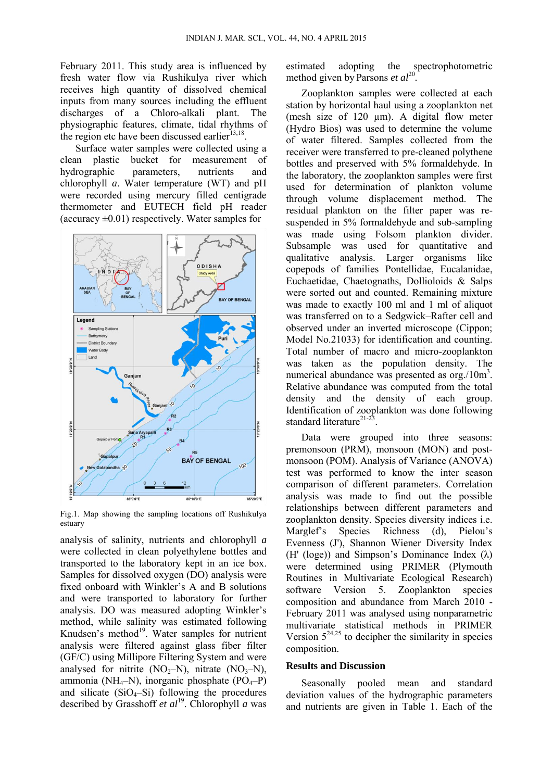February 2011. This study area is influenced by fresh water flow via Rushikulya river which receives high quantity of dissolved chemical inputs from many sources including the effluent discharges of a Chloro-alkali plant. The physiographic features, climate, tidal rhythms of the region etc have been discussed earlier $^{13,18}$ .

 Surface water samples were collected using a clean plastic bucket for measurement of hydrographic parameters, nutrients and chlorophyll *a*. Water temperature (WT) and pH were recorded using mercury filled centigrade thermometer and EUTECH field pH reader (accuracy  $\pm 0.01$ ) respectively. Water samples for



Fig.1. Map showing the sampling locations off Rushikulya estuary

analysis of salinity, nutrients and chlorophyll *a* were collected in clean polyethylene bottles and transported to the laboratory kept in an ice box. Samples for dissolved oxygen (DO) analysis were fixed onboard with Winkler's A and B solutions and were transported to laboratory for further analysis. DO was measured adopting Winkler's method, while salinity was estimated following Knudsen's method $19$ . Water samples for nutrient analysis were filtered against glass fiber filter (GF/C) using Millipore Filtering System and were analysed for nitrite  $(NO<sub>2</sub>-N)$ , nitrate  $(NO<sub>3</sub>-N)$ , ammonia (NH<sub>4</sub>–N), inorganic phosphate (PO<sub>4</sub>–P) and silicate  $(SiO<sub>4</sub>-Si)$  following the procedures described by Grasshoff *et al*<sup>19</sup>. Chlorophyll *a* was estimated adopting the spectrophotometric method given by Parsons *et al*<sup>20</sup> *.*

 Zooplankton samples were collected at each station by horizontal haul using a zooplankton net (mesh size of  $120 \mu m$ ). A digital flow meter (Hydro Bios) was used to determine the volume of water filtered. Samples collected from the receiver were transferred to pre-cleaned polythene bottles and preserved with 5% formaldehyde. In the laboratory, the zooplankton samples were first used for determination of plankton volume through volume displacement method. The residual plankton on the filter paper was resuspended in 5% formaldehyde and sub-sampling was made using Folsom plankton divider. Subsample was used for quantitative and qualitative analysis. Larger organisms like copepods of families Pontellidae, Eucalanidae, Euchaetidae, Chaetognaths, Dollioloids & Salps were sorted out and counted. Remaining mixture was made to exactly 100 ml and 1 ml of aliquot was transferred on to a Sedgwick–Rafter cell and observed under an inverted microscope (Cippon; Model No.21033) for identification and counting. Total number of macro and micro-zooplankton was taken as the population density. The numerical abundance was presented as  $\text{org.}/\text{10m}^3$ . Relative abundance was computed from the total density and the density of each group. Identification of zooplankton was done following standard literature<sup>21-23</sup> .

 Data were grouped into three seasons: premonsoon (PRM), monsoon (MON) and postmonsoon (POM). Analysis of Variance (ANOVA) test was performed to know the inter season comparison of different parameters. Correlation analysis was made to find out the possible relationships between different parameters and zooplankton density. Species diversity indices i.e. Marglef's Species Richness (d), Pielou's Evenness (J'), Shannon Wiener Diversity Index (H' (loge)) and Simpson's Dominance Index ( $\lambda$ ) were determined using PRIMER (Plymouth Routines in Multivariate Ecological Research) software Version 5. Zooplankton species composition and abundance from March 2010 - February 2011 was analysed using nonparametric multivariate statistical methods in PRIMER Version  $5^{24,25}$  to decipher the similarity in species composition.

## **Results and Discussion**

 Seasonally pooled mean and standard deviation values of the hydrographic parameters and nutrients are given in Table 1. Each of the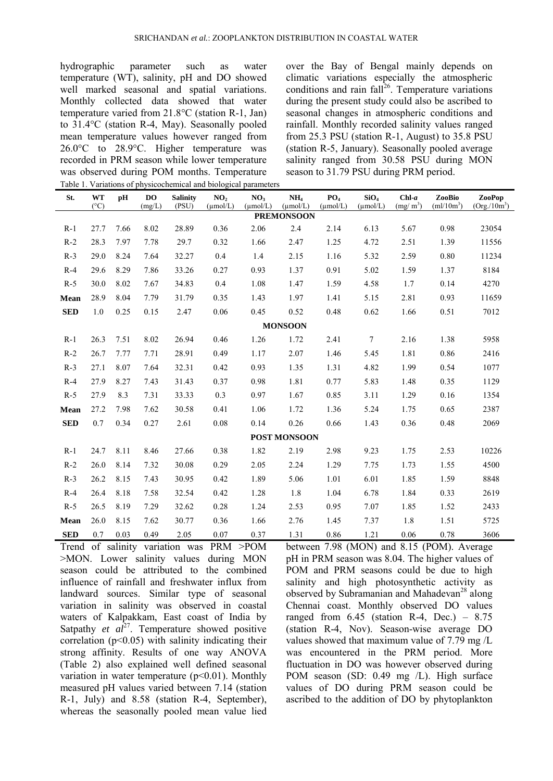hydrographic parameter such as water temperature (WT), salinity, pH and DO showed well marked seasonal and spatial variations. Monthly collected data showed that water temperature varied from 21.8°C (station R-1, Jan) to 31.4°C (station R-4, May). Seasonally pooled mean temperature values however ranged from 26.0°C to 28.9°C. Higher temperature was recorded in PRM season while lower temperature was observed during POM months. Temperature Table 1. Variations of physicochemical and biological parameters over the Bay of Bengal mainly depends on climatic variations especially the atmospheric conditions and rain fall<sup>26</sup>. Temperature variations during the present study could also be ascribed to seasonal changes in atmospheric conditions and rainfall. Monthly recorded salinity values ranged from 25.3 PSU (station R-1, August) to 35.8 PSU (station R-5, January). Seasonally pooled average salinity ranged from 30.58 PSU during MON season to 31.79 PSU during PRM period.

|            |                     |      |                          |                          | raole 1. Variations of physicochemical and olological parameters |                                         |                                         |                                         |                                          |                                 |                        |                          |
|------------|---------------------|------|--------------------------|--------------------------|------------------------------------------------------------------|-----------------------------------------|-----------------------------------------|-----------------------------------------|------------------------------------------|---------------------------------|------------------------|--------------------------|
| St.        | WT<br>$(^{\circ}C)$ | pH   | D <sub>O</sub><br>(mg/L) | <b>Salinity</b><br>(PSU) | NO <sub>2</sub><br>$(\mu \text{mol/L})$                          | NO <sub>3</sub><br>$(\mu \text{mol/L})$ | NH <sub>4</sub><br>$(\mu \text{mol/L})$ | PO <sub>4</sub><br>$(\mu \text{mol/L})$ | SiO <sub>4</sub><br>$(\mu \text{mol/L})$ | $Chl-a$<br>(mg/m <sup>3</sup> ) | ZooBio<br>$(ml/10m^3)$ | ZooPop<br>$(Org./10m^3)$ |
|            |                     |      |                          |                          |                                                                  |                                         | <b>PREMONSOON</b>                       |                                         |                                          |                                 |                        |                          |
| $R-1$      | 27.7                | 7.66 | 8.02                     | 28.89                    | 0.36                                                             | 2.06                                    | 2.4                                     | 2.14                                    | 6.13                                     | 5.67                            | 0.98                   | 23054                    |
| $R-2$      | 28.3                | 7.97 | 7.78                     | 29.7                     | 0.32                                                             | 1.66                                    | 2.47                                    | 1.25                                    | 4.72                                     | 2.51                            | 1.39                   | 11556                    |
| $R-3$      | 29.0                | 8.24 | 7.64                     | 32.27                    | 0.4                                                              | 1.4                                     | 2.15                                    | 1.16                                    | 5.32                                     | 2.59                            | 0.80                   | 11234                    |
| $R-4$      | 29.6                | 8.29 | 7.86                     | 33.26                    | 0.27                                                             | 0.93                                    | 1.37                                    | 0.91                                    | 5.02                                     | 1.59                            | 1.37                   | 8184                     |
| $R-5$      | 30.0                | 8.02 | 7.67                     | 34.83                    | 0.4                                                              | 1.08                                    | 1.47                                    | 1.59                                    | 4.58                                     | 1.7                             | 0.14                   | 4270                     |
| Mean       | 28.9                | 8.04 | 7.79                     | 31.79                    | 0.35                                                             | 1.43                                    | 1.97                                    | 1.41                                    | 5.15                                     | 2.81                            | 0.93                   | 11659                    |
| <b>SED</b> | 1.0                 | 0.25 | 0.15                     | 2.47                     | 0.06                                                             | 0.45                                    | 0.52                                    | 0.48                                    | 0.62                                     | 1.66                            | 0.51                   | 7012                     |
|            |                     |      |                          |                          |                                                                  |                                         | <b>MONSOON</b>                          |                                         |                                          |                                 |                        |                          |
| $R-1$      | 26.3                | 7.51 | 8.02                     | 26.94                    | 0.46                                                             | 1.26                                    | 1.72                                    | 2.41                                    | $\tau$                                   | 2.16                            | 1.38                   | 5958                     |
| $R-2$      | 26.7                | 7.77 | 7.71                     | 28.91                    | 0.49                                                             | 1.17                                    | 2.07                                    | 1.46                                    | 5.45                                     | 1.81                            | 0.86                   | 2416                     |
| $R-3$      | 27.1                | 8.07 | 7.64                     | 32.31                    | 0.42                                                             | 0.93                                    | 1.35                                    | 1.31                                    | 4.82                                     | 1.99                            | 0.54                   | 1077                     |
| $R-4$      | 27.9                | 8.27 | 7.43                     | 31.43                    | 0.37                                                             | 0.98                                    | 1.81                                    | 0.77                                    | 5.83                                     | 1.48                            | 0.35                   | 1129                     |
| $R-5$      | 27.9                | 8.3  | 7.31                     | 33.33                    | 0.3                                                              | 0.97                                    | 1.67                                    | 0.85                                    | 3.11                                     | 1.29                            | 0.16                   | 1354                     |
| Mean       | 27.2                | 7.98 | 7.62                     | 30.58                    | 0.41                                                             | 1.06                                    | 1.72                                    | 1.36                                    | 5.24                                     | 1.75                            | 0.65                   | 2387                     |
| <b>SED</b> | 0.7                 | 0.34 | 0.27                     | 2.61                     | 0.08                                                             | 0.14                                    | 0.26                                    | 0.66                                    | 1.43                                     | 0.36                            | 0.48                   | 2069                     |
|            |                     |      |                          |                          |                                                                  |                                         | POST MONSOON                            |                                         |                                          |                                 |                        |                          |
| $R-1$      | 24.7                | 8.11 | 8.46                     | 27.66                    | 0.38                                                             | 1.82                                    | 2.19                                    | 2.98                                    | 9.23                                     | 1.75                            | 2.53                   | 10226                    |
| $R-2$      | 26.0                | 8.14 | 7.32                     | 30.08                    | 0.29                                                             | 2.05                                    | 2.24                                    | 1.29                                    | 7.75                                     | 1.73                            | 1.55                   | 4500                     |
| $R-3$      | 26.2                | 8.15 | 7.43                     | 30.95                    | 0.42                                                             | 1.89                                    | 5.06                                    | 1.01                                    | 6.01                                     | 1.85                            | 1.59                   | 8848                     |
| $R-4$      | 26.4                | 8.18 | 7.58                     | 32.54                    | 0.42                                                             | 1.28                                    | 1.8                                     | 1.04                                    | 6.78                                     | 1.84                            | 0.33                   | 2619                     |
| $R-5$      | 26.5                | 8.19 | 7.29                     | 32.62                    | 0.28                                                             | 1.24                                    | 2.53                                    | 0.95                                    | 7.07                                     | 1.85                            | 1.52                   | 2433                     |
| Mean       | 26.0                | 8.15 | 7.62                     | 30.77                    | 0.36                                                             | 1.66                                    | 2.76                                    | 1.45                                    | 7.37                                     | 1.8                             | 1.51                   | 5725                     |
| <b>SED</b> | 0.7                 | 0.03 | 0.49                     | 2.05                     | 0.07                                                             | 0.37                                    | 1.31                                    | 0.86                                    | 1.21                                     | 0.06                            | 0.78                   | 3606                     |

Trend of salinity variation was PRM >POM >MON. Lower salinity values during MON season could be attributed to the combined influence of rainfall and freshwater influx from landward sources. Similar type of seasonal variation in salinity was observed in coastal waters of Kalpakkam, East coast of India by Satpathy  $et \text{ } a\text{ } l^{27}$ . Temperature showed positive correlation  $(p<0.05)$  with salinity indicating their strong affinity. Results of one way ANOVA (Table 2) also explained well defined seasonal variation in water temperature  $(p<0.01)$ . Monthly measured pH values varied between 7.14 (station R-1, July) and 8.58 (station R-4, September), whereas the seasonally pooled mean value lied

between 7.98 (MON) and 8.15 (POM). Average pH in PRM season was 8.04. The higher values of POM and PRM seasons could be due to high salinity and high photosynthetic activity as observed by Subramanian and Mahadevan<sup>28</sup> along Chennai coast. Monthly observed DO values ranged from  $6.45$  (station R-4, Dec.) –  $8.75$ (station R-4, Nov). Season-wise average DO values showed that maximum value of 7.79 mg /L was encountered in the PRM period. More fluctuation in DO was however observed during POM season (SD: 0.49 mg /L). High surface values of DO during PRM season could be ascribed to the addition of DO by phytoplankton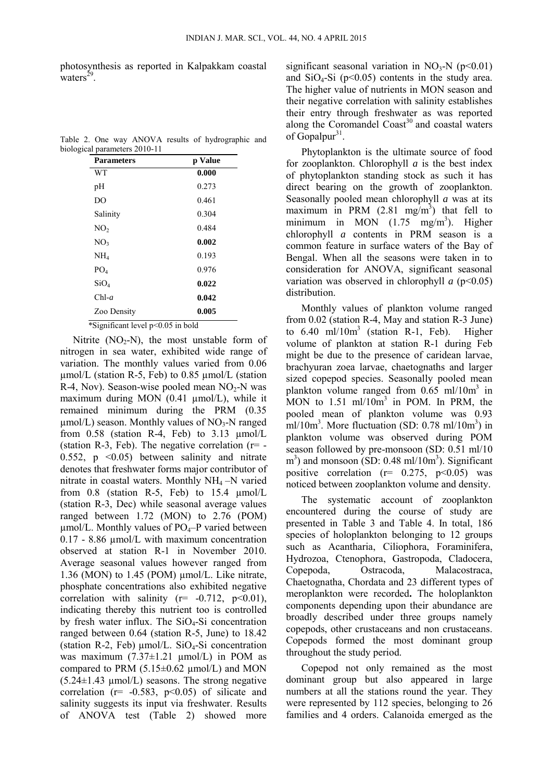photosynthesis as reported in Kalpakkam coastal waters $^{29}$ .

|  |  |                               |  | Table 2. One way ANOVA results of hydrographic and |  |
|--|--|-------------------------------|--|----------------------------------------------------|--|
|  |  | biological parameters 2010-11 |  |                                                    |  |

| <b>Parameters</b> | p Value |
|-------------------|---------|
| WТ                | 0.000   |
| pH                | 0.273   |
| D <sub>O</sub>    | 0.461   |
| Salinity          | 0.304   |
| NO <sub>2</sub>   | 0.484   |
| NO <sub>3</sub>   | 0.002   |
| NH <sub>4</sub>   | 0.193   |
| PO <sub>4</sub>   | 0.976   |
| SiO <sub>4</sub>  | 0.022   |
| $Chl-a$           | 0.042   |
| Zoo Density       | 0.005   |

Nitrite  $(NO<sub>2</sub>-N)$ , the most unstable form of nitrogen in sea water, exhibited wide range of variation. The monthly values varied from 0.06  $\mu$ mol/L (station R-5, Feb) to 0.85  $\mu$ mol/L (station R-4, Nov). Season-wise pooled mean  $NO<sub>2</sub>-N$  was maximum during MON (0.41  $\mu$ mol/L), while it remained minimum during the PRM (0.35  $\mu$ mol/L) season. Monthly values of NO<sub>3</sub>-N ranged from  $0.58$  (station R-4, Feb) to  $3.13 \mu$ mol/L (station R-3, Feb). The negative correlation  $(r=$  -0.552,  $p \leq 0.05$ ) between salinity and nitrate denotes that freshwater forms major contributor of nitrate in coastal waters. Monthly NH4 –N varied from  $0.8$  (station R-5, Feb) to 15.4  $\mu$ mol/L (station R-3, Dec) while seasonal average values ranged between 1.72 (MON) to 2.76 (POM)  $\mu$ mol/L. Monthly values of PO<sub>4</sub>–P varied between 0.17 - 8.86 µmol/L with maximum concentration observed at station R-1 in November 2010. Average seasonal values however ranged from 1.36 (MON) to 1.45 (POM) µmol/L. Like nitrate, phosphate concentrations also exhibited negative correlation with salinity  $(r=-0.712, p<0.01)$ , indicating thereby this nutrient too is controlled by fresh water influx. The  $SiO<sub>4</sub>-Si$  concentration ranged between 0.64 (station R-5, June) to 18.42 (station R-2, Feb)  $\mu$ mol/L. SiO<sub>4</sub>-Si concentration was maximum  $(7.37 \pm 1.21 \mu \text{mol/L})$  in POM as compared to PRM  $(5.15\pm0.62 \mu \text{mol/L})$  and MON  $(5.24 \pm 1.43 \mu mol/L)$  seasons. The strong negative correlation ( $r = -0.583$ ,  $p < 0.05$ ) of silicate and salinity suggests its input via freshwater. Results of ANOVA test (Table 2) showed more

significant seasonal variation in  $NO_3-N$  ( $p<0.01$ ) and  $SiO<sub>4</sub>-Si$  (p<0.05) contents in the study area. The higher value of nutrients in MON season and their negative correlation with salinity establishes their entry through freshwater as was reported along the Coromandel Coast<sup>30</sup> and coastal waters of Gopalpur<sup>31</sup>.

 Phytoplankton is the ultimate source of food for zooplankton. Chlorophyll *a* is the best index of phytoplankton standing stock as such it has direct bearing on the growth of zooplankton. Seasonally pooled mean chlorophyll *a* was at its maximum in PRM  $(2.81 \text{ mg/m}^3)$  that fell to minimum in MON  $(1.75 \text{ mg/m}^3)$ . Higher chlorophyll *a* contents in PRM season is a common feature in surface waters of the Bay of Bengal. When all the seasons were taken in to consideration for ANOVA, significant seasonal variation was observed in chlorophyll *a* (p<0.05) distribution.

 Monthly values of plankton volume ranged from 0.02 (station R-4, May and station R-3 June) to  $6.40 \text{ ml}/10\text{m}^3$  (station R-1, Feb). Higher volume of plankton at station R-1 during Feb might be due to the presence of caridean larvae, brachyuran zoea larvae, chaetognaths and larger sized copepod species. Seasonally pooled mean plankton volume ranged from 0.65 ml/10m<sup>3</sup> in MON to  $1.51 \text{ ml}/10\text{m}^3$  in POM. In PRM, the pooled mean of plankton volume was 0.93 ml/10 $m<sup>3</sup>$ . More fluctuation (SD: 0.78 ml/10 $m<sup>3</sup>$ ) in plankton volume was observed during POM season followed by pre-monsoon (SD: 0.51 ml/10  $\text{m}^3$ ) and monsoon (SD: 0.48 ml/10m<sup>3</sup>). Significant positive correlation  $(r= 0.275, p<0.05)$  was noticed between zooplankton volume and density.

 The systematic account of zooplankton encountered during the course of study are presented in Table 3 and Table 4. In total, 186 species of holoplankton belonging to 12 groups such as Acantharia, Ciliophora, Foraminifera, Hydrozoa, Ctenophora, Gastropoda, Cladocera, Copepoda, Ostracoda, Malacostraca, Chaetognatha, Chordata and 23 different types of meroplankton were recorded**.** The holoplankton components depending upon their abundance are broadly described under three groups namely copepods, other crustaceans and non crustaceans. Copepods formed the most dominant group throughout the study period.

 Copepod not only remained as the most dominant group but also appeared in large numbers at all the stations round the year. They were represented by 112 species, belonging to 26 families and 4 orders. Calanoida emerged as the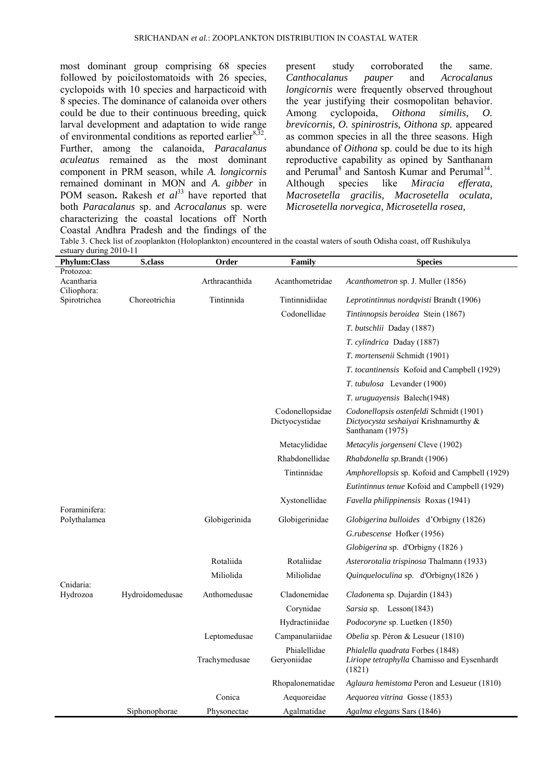most dominant group comprising 68 species followed by poicilostomatoids with 26 species, cyclopoids with 10 species and harpacticoid with 8 species. The dominance of calanoida over others could be due to their continuous breeding, quick larval development and adaptation to wide range of environmental conditions as reported earlier $8,32$ . Further, among the calanoida, *Paracalanus aculeatus* remained as the most dominant component in PRM season, while *A. longicornis* remained dominant in MON and *A. gibber* in POM season. Rakesh *et al*<sup>33</sup> have reported that both *Paracalanus* sp. and *Acrocalanus* sp. were characterizing the coastal locations off North Coastal Andhra Pradesh and the findings of the

present study corroborated the same. *Canthocalanus pauper* and *Acrocalanus longicornis* were frequently observed throughout the year justifying their cosmopolitan behavior.<br>Among cyclopoida, *Oithona similis*, *O*. Among cyclopoida, *Oithona similis, O. brevicornis, O. spinirostris, Oithona sp.* appeared as common species in all the three seasons. High abundance of *Oithona* sp. could be due to its high reproductive capability as opined by Santhanam and Perumal<sup>8</sup> and Santosh Kumar and Perumal<sup>34</sup>. Although species like *Miracia efferata, Macrosetella gracilis, Macrosetella oculata, Microsetella norvegica, Microsetella rosea,* 

Table 3. Check list of zooplankton (Holoplankton) encountered in the coastal waters of south Odisha coast, off Rushikulya estuary during 2010-11

| <b>Phylum:Class</b>           | <b>S.class</b>  | Order          | Family                            | <b>Species</b>                                                                                       |
|-------------------------------|-----------------|----------------|-----------------------------------|------------------------------------------------------------------------------------------------------|
| Protozoa:<br>Acantharia       |                 | Arthracanthida | Acanthometridae                   | Acanthometron sp. J. Muller (1856)                                                                   |
| Ciliophora:<br>Spirotrichea   | Choreotrichia   | Tintinnida     | Tintinnidiidae                    | Leprotintinnus nordqvisti Brandt (1906)                                                              |
|                               |                 |                | Codonellidae                      | Tintinnopsis beroidea Stein (1867)                                                                   |
|                               |                 |                |                                   | T. butschlii Daday (1887)                                                                            |
|                               |                 |                |                                   | <i>T. cylindrica Daday (1887)</i>                                                                    |
|                               |                 |                |                                   | T. mortensenii Schmidt (1901)                                                                        |
|                               |                 |                |                                   | T. tocantinensis Kofoid and Campbell (1929)                                                          |
|                               |                 |                |                                   | T. tubulosa Levander (1900)                                                                          |
|                               |                 |                |                                   | <i>T. uruguayensis Balech</i> (1948)                                                                 |
|                               |                 |                | Codonellopsidae<br>Dictyocystidae | Codonellopsis ostenfeldi Schmidt (1901)<br>Dictyocysta seshaiyai Krishnamurthy &<br>Santhanam (1975) |
|                               |                 |                | Metacylididae                     | Metacylis jorgenseni Cleve (1902)                                                                    |
|                               |                 |                | Rhabdonellidae                    | Rhabdonella sp.Brandt (1906)                                                                         |
|                               |                 |                | Tintinnidae                       | Amphorellopsis sp. Kofoid and Campbell (1929)                                                        |
|                               |                 |                |                                   | Eutintinnus tenue Kofoid and Campbell (1929)                                                         |
|                               |                 |                | Xystonellidae                     | Favella philippinensis Roxas (1941)                                                                  |
| Foraminifera:<br>Polythalamea |                 | Globigerinida  | Globigerinidae                    | <i>Globigerina bulloides</i> d'Orbigny (1826)                                                        |
|                               |                 |                |                                   | G.rubescense Hofker (1956)                                                                           |
|                               |                 |                |                                   | Globigerina sp. d'Orbigny (1826)                                                                     |
|                               |                 | Rotaliida      | Rotaliidae                        | Asterorotalia trispinosa Thalmann (1933)                                                             |
|                               |                 | Miliolida      | Miliolidae                        | Quinqueloculina sp. d'Orbigny(1826)                                                                  |
| Cnidaria:<br>Hydrozoa         | Hydroidomedusae | Anthomedusae   | Cladonemidae                      | Cladonema sp. Dujardin (1843)                                                                        |
|                               |                 |                | Corynidae                         | Sarsia sp. Lesson(1843)                                                                              |
|                               |                 |                | Hydractiniidae                    | Podocoryne sp. Luetken (1850)                                                                        |
|                               |                 | Leptomedusae   | Campanulariidae                   | Obelia sp. Péron & Lesueur (1810)                                                                    |
|                               |                 | Trachymedusae  | Phialellidae<br>Geryoniidae       | Phialella quadrata Forbes (1848)<br>Liriope tetraphylla Chamisso and Eysenhardt<br>(1821)            |
|                               |                 |                | Rhopalonematidae                  | Aglaura hemistoma Peron and Lesueur (1810)                                                           |
|                               |                 | Conica         | Aequoreidae                       | Aequorea vitrina Gosse (1853)                                                                        |
|                               | Siphonophorae   | Physonectae    | Agalmatidae                       | Agalma elegans Sars (1846)                                                                           |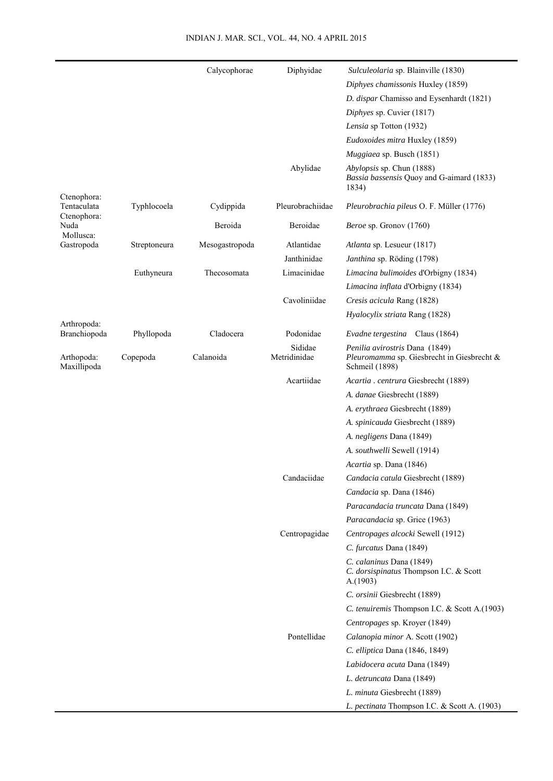| Diphyes chamissonis Huxley (1859)<br>D. dispar Chamisso and Eysenhardt (1821)<br>Diphyes sp. Cuvier (1817)<br>Lensia sp Totton (1932)<br>Eudoxoides mitra Huxley (1859)<br>Muggiaea sp. Busch (1851)<br>Abylidae<br>Abylopsis sp. Chun (1888)<br>Bassia bassensis Quoy and G-aimard (1833)<br>1834)<br>Ctenophora:<br>Tentaculata<br>Pleurobrachiidae<br>Typhlocoela<br>Cydippida<br>Pleurobrachia pileus O. F. Müller (1776)<br>Ctenophora:<br>Beroida<br>Beroidae<br>Beroe sp. Gronov (1760)<br>Nuda<br>Mollusca:<br>Gastropoda<br>Atlantidae<br>Streptoneura<br>Mesogastropoda<br>Atlanta sp. Lesueur (1817)<br>Janthinidae<br>Janthina sp. Röding (1798)<br>Limacinidae<br>Euthyneura<br>Thecosomata<br>Limacina bulimoides d'Orbigny (1834)<br>Limacina inflata d'Orbigny (1834)<br>Cavoliniidae<br>Cresis acicula Rang (1828)<br>Hyalocylix striata Rang (1828)<br>Arthropoda:<br>Cladocera<br>Branchiopoda<br>Phyllopoda<br>Podonidae<br>Evadne tergestina Claus (1864)<br>Sididae<br>Penilia avirostris Dana (1849)<br>Arthopoda:<br>Copepoda<br>Calanoida<br>Metridinidae<br>Pleuromamma sp. Giesbrecht in Giesbrecht &<br>Maxillipoda<br>Schmeil (1898)<br>Acartiidae<br>Acartia . centrura Giesbrecht (1889)<br>A. danae Giesbrecht (1889)<br>A. erythraea Giesbrecht (1889)<br>A. spinicauda Giesbrecht (1889)<br>A. negligens Dana (1849)<br>A. southwelli Sewell (1914)<br>Acartia sp. Dana (1846)<br>Candaciidae<br>Candacia catula Giesbrecht (1889)<br>Candacia sp. Dana (1846)<br>Paracandacia truncata Dana (1849)<br>Paracandacia sp. Grice (1963)<br>Centropagidae<br>Centropages alcocki Sewell (1912)<br>C. furcatus Dana (1849)<br>C. calaninus Dana (1849)<br>C. dorsispinatus Thompson I.C. & Scott<br>A.(1903)<br>C. orsinii Giesbrecht (1889)<br>C. tenuiremis Thompson I.C. & Scott A.(1903)<br>Centropages sp. Kroyer (1849)<br>Pontellidae<br>Calanopia minor A. Scott (1902)<br>C. elliptica Dana (1846, 1849)<br>Labidocera acuta Dana (1849) |  | Calycophorae | Diphyidae | Sulculeolaria sp. Blainville (1830) |
|--------------------------------------------------------------------------------------------------------------------------------------------------------------------------------------------------------------------------------------------------------------------------------------------------------------------------------------------------------------------------------------------------------------------------------------------------------------------------------------------------------------------------------------------------------------------------------------------------------------------------------------------------------------------------------------------------------------------------------------------------------------------------------------------------------------------------------------------------------------------------------------------------------------------------------------------------------------------------------------------------------------------------------------------------------------------------------------------------------------------------------------------------------------------------------------------------------------------------------------------------------------------------------------------------------------------------------------------------------------------------------------------------------------------------------------------------------------------------------------------------------------------------------------------------------------------------------------------------------------------------------------------------------------------------------------------------------------------------------------------------------------------------------------------------------------------------------------------------------------------------------------------------------------------------------------------------------------------------------|--|--------------|-----------|-------------------------------------|
|                                                                                                                                                                                                                                                                                                                                                                                                                                                                                                                                                                                                                                                                                                                                                                                                                                                                                                                                                                                                                                                                                                                                                                                                                                                                                                                                                                                                                                                                                                                                                                                                                                                                                                                                                                                                                                                                                                                                                                                |  |              |           |                                     |
|                                                                                                                                                                                                                                                                                                                                                                                                                                                                                                                                                                                                                                                                                                                                                                                                                                                                                                                                                                                                                                                                                                                                                                                                                                                                                                                                                                                                                                                                                                                                                                                                                                                                                                                                                                                                                                                                                                                                                                                |  |              |           |                                     |
|                                                                                                                                                                                                                                                                                                                                                                                                                                                                                                                                                                                                                                                                                                                                                                                                                                                                                                                                                                                                                                                                                                                                                                                                                                                                                                                                                                                                                                                                                                                                                                                                                                                                                                                                                                                                                                                                                                                                                                                |  |              |           |                                     |
|                                                                                                                                                                                                                                                                                                                                                                                                                                                                                                                                                                                                                                                                                                                                                                                                                                                                                                                                                                                                                                                                                                                                                                                                                                                                                                                                                                                                                                                                                                                                                                                                                                                                                                                                                                                                                                                                                                                                                                                |  |              |           |                                     |
|                                                                                                                                                                                                                                                                                                                                                                                                                                                                                                                                                                                                                                                                                                                                                                                                                                                                                                                                                                                                                                                                                                                                                                                                                                                                                                                                                                                                                                                                                                                                                                                                                                                                                                                                                                                                                                                                                                                                                                                |  |              |           |                                     |
|                                                                                                                                                                                                                                                                                                                                                                                                                                                                                                                                                                                                                                                                                                                                                                                                                                                                                                                                                                                                                                                                                                                                                                                                                                                                                                                                                                                                                                                                                                                                                                                                                                                                                                                                                                                                                                                                                                                                                                                |  |              |           |                                     |
|                                                                                                                                                                                                                                                                                                                                                                                                                                                                                                                                                                                                                                                                                                                                                                                                                                                                                                                                                                                                                                                                                                                                                                                                                                                                                                                                                                                                                                                                                                                                                                                                                                                                                                                                                                                                                                                                                                                                                                                |  |              |           |                                     |
|                                                                                                                                                                                                                                                                                                                                                                                                                                                                                                                                                                                                                                                                                                                                                                                                                                                                                                                                                                                                                                                                                                                                                                                                                                                                                                                                                                                                                                                                                                                                                                                                                                                                                                                                                                                                                                                                                                                                                                                |  |              |           |                                     |
|                                                                                                                                                                                                                                                                                                                                                                                                                                                                                                                                                                                                                                                                                                                                                                                                                                                                                                                                                                                                                                                                                                                                                                                                                                                                                                                                                                                                                                                                                                                                                                                                                                                                                                                                                                                                                                                                                                                                                                                |  |              |           |                                     |
|                                                                                                                                                                                                                                                                                                                                                                                                                                                                                                                                                                                                                                                                                                                                                                                                                                                                                                                                                                                                                                                                                                                                                                                                                                                                                                                                                                                                                                                                                                                                                                                                                                                                                                                                                                                                                                                                                                                                                                                |  |              |           |                                     |
|                                                                                                                                                                                                                                                                                                                                                                                                                                                                                                                                                                                                                                                                                                                                                                                                                                                                                                                                                                                                                                                                                                                                                                                                                                                                                                                                                                                                                                                                                                                                                                                                                                                                                                                                                                                                                                                                                                                                                                                |  |              |           |                                     |
|                                                                                                                                                                                                                                                                                                                                                                                                                                                                                                                                                                                                                                                                                                                                                                                                                                                                                                                                                                                                                                                                                                                                                                                                                                                                                                                                                                                                                                                                                                                                                                                                                                                                                                                                                                                                                                                                                                                                                                                |  |              |           |                                     |
|                                                                                                                                                                                                                                                                                                                                                                                                                                                                                                                                                                                                                                                                                                                                                                                                                                                                                                                                                                                                                                                                                                                                                                                                                                                                                                                                                                                                                                                                                                                                                                                                                                                                                                                                                                                                                                                                                                                                                                                |  |              |           |                                     |
|                                                                                                                                                                                                                                                                                                                                                                                                                                                                                                                                                                                                                                                                                                                                                                                                                                                                                                                                                                                                                                                                                                                                                                                                                                                                                                                                                                                                                                                                                                                                                                                                                                                                                                                                                                                                                                                                                                                                                                                |  |              |           |                                     |
|                                                                                                                                                                                                                                                                                                                                                                                                                                                                                                                                                                                                                                                                                                                                                                                                                                                                                                                                                                                                                                                                                                                                                                                                                                                                                                                                                                                                                                                                                                                                                                                                                                                                                                                                                                                                                                                                                                                                                                                |  |              |           |                                     |
|                                                                                                                                                                                                                                                                                                                                                                                                                                                                                                                                                                                                                                                                                                                                                                                                                                                                                                                                                                                                                                                                                                                                                                                                                                                                                                                                                                                                                                                                                                                                                                                                                                                                                                                                                                                                                                                                                                                                                                                |  |              |           |                                     |
|                                                                                                                                                                                                                                                                                                                                                                                                                                                                                                                                                                                                                                                                                                                                                                                                                                                                                                                                                                                                                                                                                                                                                                                                                                                                                                                                                                                                                                                                                                                                                                                                                                                                                                                                                                                                                                                                                                                                                                                |  |              |           |                                     |
|                                                                                                                                                                                                                                                                                                                                                                                                                                                                                                                                                                                                                                                                                                                                                                                                                                                                                                                                                                                                                                                                                                                                                                                                                                                                                                                                                                                                                                                                                                                                                                                                                                                                                                                                                                                                                                                                                                                                                                                |  |              |           |                                     |
|                                                                                                                                                                                                                                                                                                                                                                                                                                                                                                                                                                                                                                                                                                                                                                                                                                                                                                                                                                                                                                                                                                                                                                                                                                                                                                                                                                                                                                                                                                                                                                                                                                                                                                                                                                                                                                                                                                                                                                                |  |              |           |                                     |
|                                                                                                                                                                                                                                                                                                                                                                                                                                                                                                                                                                                                                                                                                                                                                                                                                                                                                                                                                                                                                                                                                                                                                                                                                                                                                                                                                                                                                                                                                                                                                                                                                                                                                                                                                                                                                                                                                                                                                                                |  |              |           |                                     |
|                                                                                                                                                                                                                                                                                                                                                                                                                                                                                                                                                                                                                                                                                                                                                                                                                                                                                                                                                                                                                                                                                                                                                                                                                                                                                                                                                                                                                                                                                                                                                                                                                                                                                                                                                                                                                                                                                                                                                                                |  |              |           |                                     |
|                                                                                                                                                                                                                                                                                                                                                                                                                                                                                                                                                                                                                                                                                                                                                                                                                                                                                                                                                                                                                                                                                                                                                                                                                                                                                                                                                                                                                                                                                                                                                                                                                                                                                                                                                                                                                                                                                                                                                                                |  |              |           |                                     |
|                                                                                                                                                                                                                                                                                                                                                                                                                                                                                                                                                                                                                                                                                                                                                                                                                                                                                                                                                                                                                                                                                                                                                                                                                                                                                                                                                                                                                                                                                                                                                                                                                                                                                                                                                                                                                                                                                                                                                                                |  |              |           |                                     |
|                                                                                                                                                                                                                                                                                                                                                                                                                                                                                                                                                                                                                                                                                                                                                                                                                                                                                                                                                                                                                                                                                                                                                                                                                                                                                                                                                                                                                                                                                                                                                                                                                                                                                                                                                                                                                                                                                                                                                                                |  |              |           |                                     |
|                                                                                                                                                                                                                                                                                                                                                                                                                                                                                                                                                                                                                                                                                                                                                                                                                                                                                                                                                                                                                                                                                                                                                                                                                                                                                                                                                                                                                                                                                                                                                                                                                                                                                                                                                                                                                                                                                                                                                                                |  |              |           |                                     |
|                                                                                                                                                                                                                                                                                                                                                                                                                                                                                                                                                                                                                                                                                                                                                                                                                                                                                                                                                                                                                                                                                                                                                                                                                                                                                                                                                                                                                                                                                                                                                                                                                                                                                                                                                                                                                                                                                                                                                                                |  |              |           |                                     |
|                                                                                                                                                                                                                                                                                                                                                                                                                                                                                                                                                                                                                                                                                                                                                                                                                                                                                                                                                                                                                                                                                                                                                                                                                                                                                                                                                                                                                                                                                                                                                                                                                                                                                                                                                                                                                                                                                                                                                                                |  |              |           |                                     |
|                                                                                                                                                                                                                                                                                                                                                                                                                                                                                                                                                                                                                                                                                                                                                                                                                                                                                                                                                                                                                                                                                                                                                                                                                                                                                                                                                                                                                                                                                                                                                                                                                                                                                                                                                                                                                                                                                                                                                                                |  |              |           |                                     |
|                                                                                                                                                                                                                                                                                                                                                                                                                                                                                                                                                                                                                                                                                                                                                                                                                                                                                                                                                                                                                                                                                                                                                                                                                                                                                                                                                                                                                                                                                                                                                                                                                                                                                                                                                                                                                                                                                                                                                                                |  |              |           |                                     |
|                                                                                                                                                                                                                                                                                                                                                                                                                                                                                                                                                                                                                                                                                                                                                                                                                                                                                                                                                                                                                                                                                                                                                                                                                                                                                                                                                                                                                                                                                                                                                                                                                                                                                                                                                                                                                                                                                                                                                                                |  |              |           |                                     |
|                                                                                                                                                                                                                                                                                                                                                                                                                                                                                                                                                                                                                                                                                                                                                                                                                                                                                                                                                                                                                                                                                                                                                                                                                                                                                                                                                                                                                                                                                                                                                                                                                                                                                                                                                                                                                                                                                                                                                                                |  |              |           |                                     |
|                                                                                                                                                                                                                                                                                                                                                                                                                                                                                                                                                                                                                                                                                                                                                                                                                                                                                                                                                                                                                                                                                                                                                                                                                                                                                                                                                                                                                                                                                                                                                                                                                                                                                                                                                                                                                                                                                                                                                                                |  |              |           |                                     |
|                                                                                                                                                                                                                                                                                                                                                                                                                                                                                                                                                                                                                                                                                                                                                                                                                                                                                                                                                                                                                                                                                                                                                                                                                                                                                                                                                                                                                                                                                                                                                                                                                                                                                                                                                                                                                                                                                                                                                                                |  |              |           |                                     |
|                                                                                                                                                                                                                                                                                                                                                                                                                                                                                                                                                                                                                                                                                                                                                                                                                                                                                                                                                                                                                                                                                                                                                                                                                                                                                                                                                                                                                                                                                                                                                                                                                                                                                                                                                                                                                                                                                                                                                                                |  |              |           |                                     |
|                                                                                                                                                                                                                                                                                                                                                                                                                                                                                                                                                                                                                                                                                                                                                                                                                                                                                                                                                                                                                                                                                                                                                                                                                                                                                                                                                                                                                                                                                                                                                                                                                                                                                                                                                                                                                                                                                                                                                                                |  |              |           |                                     |
|                                                                                                                                                                                                                                                                                                                                                                                                                                                                                                                                                                                                                                                                                                                                                                                                                                                                                                                                                                                                                                                                                                                                                                                                                                                                                                                                                                                                                                                                                                                                                                                                                                                                                                                                                                                                                                                                                                                                                                                |  |              |           |                                     |
|                                                                                                                                                                                                                                                                                                                                                                                                                                                                                                                                                                                                                                                                                                                                                                                                                                                                                                                                                                                                                                                                                                                                                                                                                                                                                                                                                                                                                                                                                                                                                                                                                                                                                                                                                                                                                                                                                                                                                                                |  |              |           |                                     |
|                                                                                                                                                                                                                                                                                                                                                                                                                                                                                                                                                                                                                                                                                                                                                                                                                                                                                                                                                                                                                                                                                                                                                                                                                                                                                                                                                                                                                                                                                                                                                                                                                                                                                                                                                                                                                                                                                                                                                                                |  |              |           |                                     |
|                                                                                                                                                                                                                                                                                                                                                                                                                                                                                                                                                                                                                                                                                                                                                                                                                                                                                                                                                                                                                                                                                                                                                                                                                                                                                                                                                                                                                                                                                                                                                                                                                                                                                                                                                                                                                                                                                                                                                                                |  |              |           | L. detruncata Dana (1849)           |
| L. minuta Giesbrecht (1889)                                                                                                                                                                                                                                                                                                                                                                                                                                                                                                                                                                                                                                                                                                                                                                                                                                                                                                                                                                                                                                                                                                                                                                                                                                                                                                                                                                                                                                                                                                                                                                                                                                                                                                                                                                                                                                                                                                                                                    |  |              |           |                                     |
| L. pectinata Thompson I.C. & Scott A. (1903)                                                                                                                                                                                                                                                                                                                                                                                                                                                                                                                                                                                                                                                                                                                                                                                                                                                                                                                                                                                                                                                                                                                                                                                                                                                                                                                                                                                                                                                                                                                                                                                                                                                                                                                                                                                                                                                                                                                                   |  |              |           |                                     |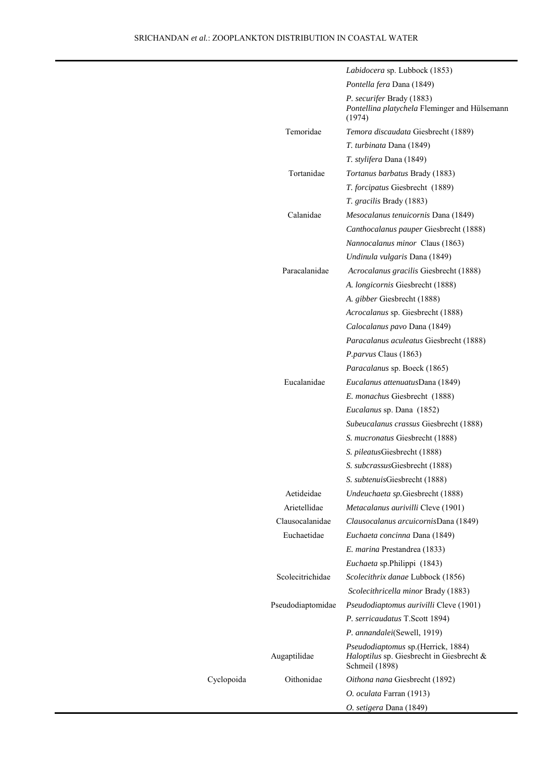Cyclopoida

|                   | Labidocera sp. Lubbock (1853)                                                                             |
|-------------------|-----------------------------------------------------------------------------------------------------------|
|                   | Pontella fera Dana (1849)                                                                                 |
|                   | <i>P. securifer Brady (1883)</i><br>Pontellina platychela Fleminger and Hülsemann<br>(1974)               |
| Temoridae         | Temora discaudata Giesbrecht (1889)                                                                       |
|                   | T. turbinata Dana (1849)                                                                                  |
|                   | <i>T. stylifera Dana</i> (1849)                                                                           |
| Tortanidae        | <i>Tortanus barbatus Brady (1883)</i>                                                                     |
|                   | <i>T. forcipatus</i> Giesbrecht (1889)                                                                    |
|                   | <i>T. gracilis Brady</i> (1883)                                                                           |
| Calanidae         | <i>Mesocalanus tenuicornis</i> Dana (1849)                                                                |
|                   | Canthocalanus pauper Giesbrecht (1888)                                                                    |
|                   | <i>Nannocalanus minor Claus (1863)</i>                                                                    |
|                   | Undinula vulgaris Dana (1849)                                                                             |
| Paracalanidae     | <i>Acrocalanus gracilis Giesbrecht (1888)</i>                                                             |
|                   | A. <i>longicornis</i> Giesbrecht (1888)                                                                   |
|                   | A. gibber Giesbrecht (1888)                                                                               |
|                   | Acrocalanus sp. Giesbrecht (1888)                                                                         |
|                   | Calocalanus pavo Dana (1849)                                                                              |
|                   | Paracalanus aculeatus Giesbrecht (1888)                                                                   |
|                   | <i>P. parvus</i> Claus (1863)                                                                             |
|                   | <i>Paracalanus</i> sp. Boeck (1865)                                                                       |
| Eucalanidae       | Eucalanus attenuatusDana (1849)                                                                           |
|                   | E. monachus Giesbrecht (1888)                                                                             |
|                   | <i>Eucalanus</i> sp. Dana (1852)                                                                          |
|                   | Subeucalanus crassus Giesbrecht (1888)                                                                    |
|                   | <i>S. mucronatus</i> Giesbrecht (1888)                                                                    |
|                   | S. pileatusGiesbrecht (1888)                                                                              |
|                   | S. subcrassusGiesbrecht (1888)                                                                            |
|                   | S. subtenuisGiesbrecht (1888)                                                                             |
| Aetideidae        | Undeuchaeta sp. Giesbrecht (1888)                                                                         |
| Arietellidae      | Metacalanus aurivilli Cleve (1901)                                                                        |
| Clausocalanidae   | Clausocalanus arcuicornisDana (1849)                                                                      |
| Euchaetidae       | Euchaeta concinna Dana (1849)                                                                             |
|                   | E. marina Prestandrea (1833)                                                                              |
|                   | Euchaeta sp. Philippi (1843)                                                                              |
| Scolecitrichidae  | Scolecithrix danae Lubbock (1856)                                                                         |
|                   | Scolecithricella minor Brady (1883)                                                                       |
| Pseudodiaptomidae | <i>Pseudodiaptomus aurivilli</i> Cleve (1901)                                                             |
|                   | P. serricaudatus T.Scott 1894)                                                                            |
|                   | P. annandalei(Sewell, 1919)                                                                               |
| Augaptilidae      | <i>Pseudodiaptomus</i> sp. (Herrick, 1884)<br>Haloptilus sp. Giesbrecht in Giesbrecht &<br>Schmeil (1898) |
| Oithonidae        | Oithona nana Giesbrecht (1892)                                                                            |
|                   | O. oculata Farran (1913)                                                                                  |
|                   | O. setigera Dana (1849)                                                                                   |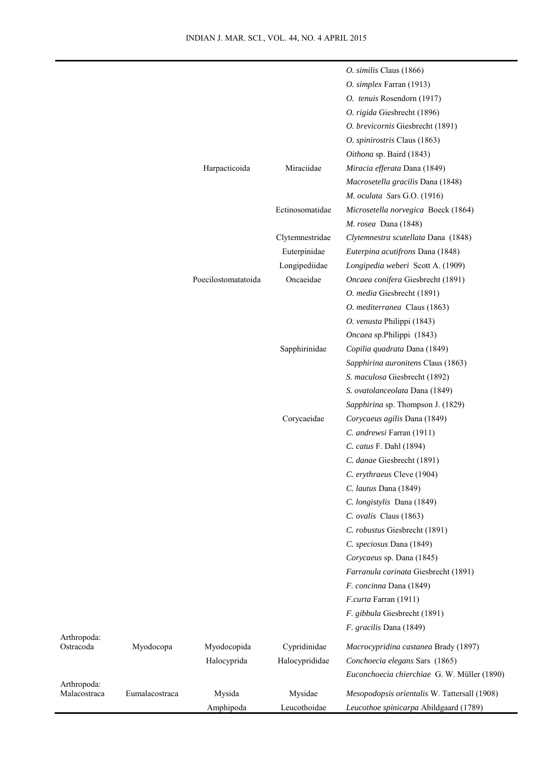|                          |                |                     |                 | O. similis Claus (1866)                      |
|--------------------------|----------------|---------------------|-----------------|----------------------------------------------|
|                          |                |                     |                 | O. simplex Farran (1913)                     |
|                          |                |                     |                 | O. tenuis Rosendorn (1917)                   |
|                          |                |                     |                 | O. rigida Giesbrecht (1896)                  |
|                          |                |                     |                 | O. brevicornis Giesbrecht (1891)             |
|                          |                |                     |                 | O. spinirostris Claus (1863)                 |
|                          |                |                     |                 | Oithona sp. Baird (1843)                     |
|                          |                | Harpacticoida       | Miraciidae      | Miracia efferata Dana (1849)                 |
|                          |                |                     |                 | Macrosetella gracilis Dana (1848)            |
|                          |                |                     |                 | M. oculata Sars G.O. (1916)                  |
|                          |                |                     | Ectinosomatidae | Microsetella norvegica Boeck (1864)          |
|                          |                |                     |                 | <i>M. rosea</i> Dana (1848)                  |
|                          |                |                     | Clytemnestridae | Clytemnestra scutellata Dana (1848)          |
|                          |                |                     | Euterpinidae    | Euterpina acutifrons Dana (1848)             |
|                          |                |                     | Longipediidae   | Longipedia weberi Scott A. (1909)            |
|                          |                | Poecilostomatatoida | Oncaeidae       | Oncaea conifera Giesbrecht (1891)            |
|                          |                |                     |                 | O. media Giesbrecht (1891)                   |
|                          |                |                     |                 | O. mediterranea Claus (1863)                 |
|                          |                |                     |                 | O. venusta Philippi (1843)                   |
|                          |                |                     |                 | Oncaea sp.Philippi (1843)                    |
|                          |                |                     | Sapphirinidae   | Copilia quadrata Dana (1849)                 |
|                          |                |                     |                 | Sapphirina auronitens Claus (1863)           |
|                          |                |                     |                 | S. maculosa Giesbrecht (1892)                |
|                          |                |                     |                 | S. ovatolanceolata Dana (1849)               |
|                          |                |                     |                 | Sapphirina sp. Thompson J. (1829)            |
|                          |                |                     | Corycaeidae     | Corycaeus agilis Dana (1849)                 |
|                          |                |                     |                 | C. andrewsi Farran (1911)                    |
|                          |                |                     |                 | C. catus F. Dahl (1894)                      |
|                          |                |                     |                 | C. danae Giesbrecht (1891)                   |
|                          |                |                     |                 | C. erythraeus Cleve (1904)                   |
|                          |                |                     |                 | C. lautus Dana (1849)                        |
|                          |                |                     |                 | C. longistylis Dana (1849)                   |
|                          |                |                     |                 | C. ovalis Claus (1863)                       |
|                          |                |                     |                 | C. robustus Giesbrecht (1891)                |
|                          |                |                     |                 | C. speciosus Dana (1849)                     |
|                          |                |                     |                 | Corycaeus sp. Dana (1845)                    |
|                          |                |                     |                 | Farranula carinata Giesbrecht (1891)         |
|                          |                |                     |                 | F. concinna Dana (1849)                      |
|                          |                |                     |                 | F.curta Farran (1911)                        |
|                          |                |                     |                 | F. gibbula Giesbrecht (1891)                 |
|                          |                |                     |                 | F. gracilis Dana (1849)                      |
| Arthropoda:<br>Ostracoda | Myodocopa      | Myodocopida         | Cypridinidae    | Macrocypridina castanea Brady (1897)         |
|                          |                | Halocyprida         | Halocyprididae  | Conchoecia elegans Sars (1865)               |
|                          |                |                     |                 | Euconchoecia chierchiae G. W. Müller (1890)  |
| Arthropoda:              |                |                     |                 |                                              |
| Malacostraca             | Eumalacostraca | Mysida              | Mysidae         | Mesopodopsis orientalis W. Tattersall (1908) |
|                          |                | Amphipoda           | Leucothoidae    | Leucothoe spinicarpa Abildgaard (1789)       |

Arthropoda: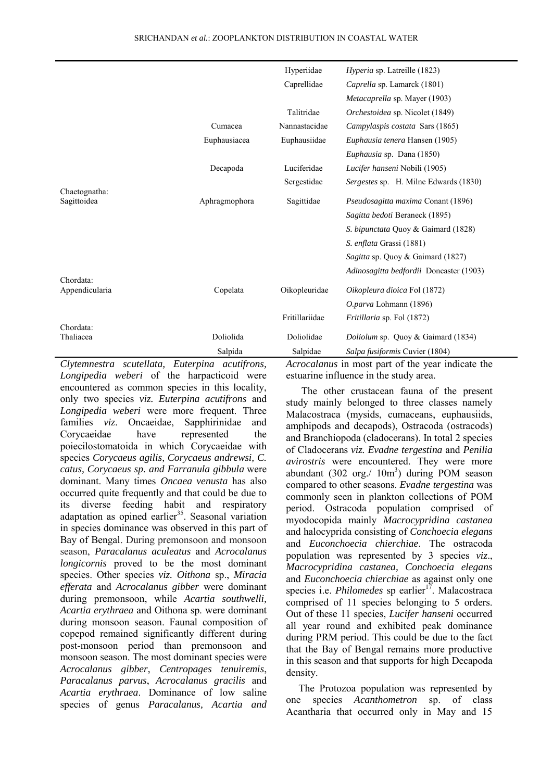|                              |               | Hyperiidae     | <i>Hyperia</i> sp. Latreille (1823)     |
|------------------------------|---------------|----------------|-----------------------------------------|
|                              |               | Caprellidae    | Caprella sp. Lamarck (1801)             |
|                              |               |                | <i>Metacaprella sp. Mayer (1903)</i>    |
|                              |               | Talitridae     | Orchestoidea sp. Nicolet (1849)         |
|                              | Cumacea       | Nannastacidae  | Campylaspis costata Sars (1865)         |
|                              | Euphausiacea  | Euphausiidae   | Euphausia tenera Hansen (1905)          |
|                              |               |                | <i>Euphausia</i> sp. Dana (1850)        |
|                              | Decapoda      | Luciferidae    | Lucifer hanseni Nobili (1905)           |
|                              |               | Sergestidae    | Sergestes sp. H. Milne Edwards (1830)   |
| Chaetognatha:<br>Sagittoidea | Aphragmophora | Sagittidae     | Pseudosagitta maxima Conant (1896)      |
|                              |               |                | Sagitta bedoti Beraneck (1895)          |
|                              |               |                | S. bipunctata Quoy & Gaimard (1828)     |
|                              |               |                | S. enflata Grassi (1881)                |
|                              |               |                | Sagitta sp. Quoy & Gaimard (1827)       |
| Chordata:                    |               |                | Adinosagitta bedfordii Doncaster (1903) |
| Appendicularia               | Copelata      | Oikopleuridae  | Oikopleura dioica Fol (1872)            |
|                              |               |                | O.parva Lohmann (1896)                  |
|                              |               | Fritillariidae | <i>Fritillaria</i> sp. Fol (1872)       |
| Chordata:<br>Thaliacea       | Doliolida     | Doliolidae     | Doliolum sp. Quoy & Gaimard (1834)      |
|                              | Salpida       | Salpidae       | Salpa fusiformis Cuvier (1804)          |

*Clytemnestra scutellata, Euterpina acutifrons, Longipedia weberi* of the harpacticoid were encountered as common species in this locality, only two species *viz. Euterpina acutifrons* and *Longipedia weberi* were more frequent. Three families *viz*. Oncaeidae, Sapphirinidae and Corycaeidae have represented the poiecilostomatoida in which Corycaeidae with species *Corycaeus agilis, Corycaeus andrewsi, C. catus, Corycaeus sp. and Farranula gibbula* were dominant. Many times *Oncaea venusta* has also occurred quite frequently and that could be due to its diverse feeding habit and respiratory adaptation as opined earlier<sup>35</sup>. Seasonal variation in species dominance was observed in this part of Bay of Bengal. During premonsoon and monsoon season, *Paracalanus aculeatus* and *Acrocalanus longicornis* proved to be the most dominant species. Other species *viz. Oithona* sp., *Miracia efferata* and *Acrocalanus gibber* were dominant during premonsoon, while *Acartia southwelli, Acartia erythraea* and Oithona sp. were dominant during monsoon season. Faunal composition of copepod remained significantly different during post-monsoon period than premonsoon and monsoon season. The most dominant species were *Acrocalanus gibber*, *Centropages tenuiremis*, *Paracalanus parvus*, *Acrocalanus gracilis* and *Acartia erythraea*. Dominance of low saline species of genus *Paracalanus, Acartia and* 

*Acrocalanus* in most part of the year indicate the estuarine influence in the study area.

 The other crustacean fauna of the present study mainly belonged to three classes namely Malacostraca (mysids, cumaceans, euphausiids, amphipods and decapods), Ostracoda (ostracods) and Branchiopoda (cladocerans). In total 2 species of Cladocerans *viz. Evadne tergestina* and *Penilia avirostris* were encountered. They were more abundant  $(302 \text{ org.}/10\text{m}^3)$  during POM season compared to other seasons. *Evadne tergestina* was commonly seen in plankton collections of POM period. Ostracoda population comprised of myodocopida mainly *Macrocypridina castanea* and halocyprida consisting of *Conchoecia elegans*  and *Euconchoecia chierchiae*. The ostracoda population was represented by 3 species *viz*., *Macrocypridina castanea, Conchoecia elegans* and *Euconchoecia chierchiae* as against only one species i.e. *Philomedes* sp earlier<sup>17</sup>. Malacostraca comprised of 11 species belonging to 5 orders. Out of these 11 species, *Lucifer hanseni* occurred all year round and exhibited peak dominance during PRM period. This could be due to the fact that the Bay of Bengal remains more productive in this season and that supports for high Decapoda density.

The Protozoa population was represented by one species *Acanthometron* sp. of class Acantharia that occurred only in May and 15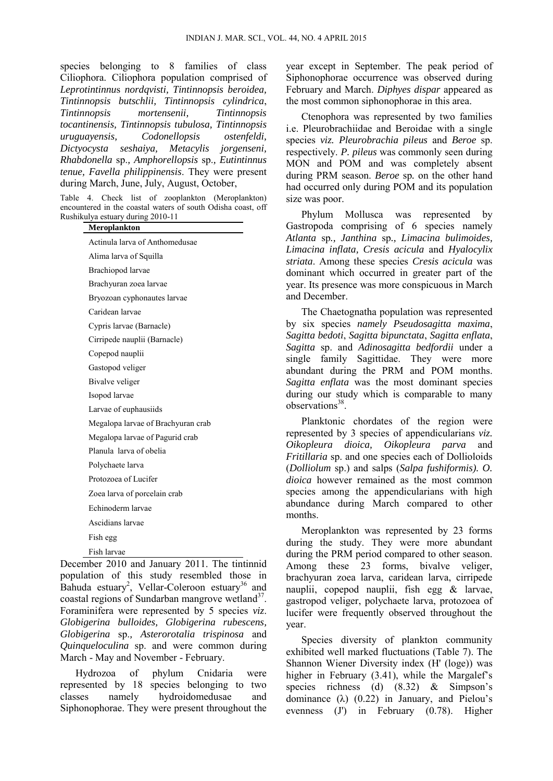species belonging to 8 families of class Ciliophora. Ciliophora population comprised of *Leprotintinnu*s *nordqvisti, Tintinnopsis beroidea, Tintinnopsis butschlii, Tintinnopsis cylindrica*, *Tintinnopsis mortensenii, Tintinnopsis tocantinensis, Tintinnopsis tubulosa, Tintinnopsis uruguayensis, Codonellopsis ostenfeldi, Dictyocysta seshaiya, Metacylis jorgenseni, Rhabdonella* sp.*, Amphorellopsis* sp.*, Eutintinnus tenue, Favella philippinensis*. They were present during March, June, July, August, October,

Table 4. Check list of zooplankton (Meroplankton) encountered in the coastal waters of south Odisha coast, off Rushikulya estuary during 2010-11

| iikuiya tsiyai y uurilig 2010-11<br>Meroplankton |
|--------------------------------------------------|
| Actinula larva of Anthomedusae                   |
| Alima larva of Squilla                           |
| Brachiopod larvae                                |
| Brachyuran zoea larvae                           |
| Bryozoan cyphonautes larvae                      |
| Caridean larvae                                  |
| Cypris larvae (Barnacle)                         |
| Cirripede nauplii (Barnacle)                     |
| Copepod nauplii                                  |
| Gastopod veliger                                 |
| Bivalve veliger                                  |
| Isopod larvae                                    |
| Larvae of euphausiids                            |
| Megalopa larvae of Brachyuran crab               |
| Megalopa larvae of Pagurid crab                  |
| Planula larva of obelia                          |
| Polychaete larva                                 |
| Protozoea of Lucifer                             |
| Zoea larva of porcelain crab                     |
| Echinoderm larvae                                |
| Ascidians larvae                                 |
| Fish egg                                         |
| Fish larvae                                      |

December 2010 and January 2011. The tintinnid population of this study resembled those in Bahuda estuary<sup>2</sup>, Vellar-Coleroon estuary<sup>36</sup> and coastal regions of Sundarban mangrove wetland<sup>37</sup>. Foraminifera were represented by 5 species *viz*. *Globigerina bulloides, Globigerina rubescens, Globigerina* sp.*, Asterorotalia trispinosa* and *Quinqueloculina* sp. and were common during March - May and November - February.

 Hydrozoa of phylum Cnidaria were represented by 18 species belonging to two classes namely hydroidomedusae and Siphonophorae. They were present throughout the

year except in September. The peak period of Siphonophorae occurrence was observed during February and March. *Diphyes dispar* appeared as the most common siphonophorae in this area.

 Ctenophora was represented by two families i.e. Pleurobrachiidae and Beroidae with a single species *viz. Pleurobrachia pileus* and *Beroe* sp. respectively. *P. pileus* was commonly seen during MON and POM and was completely absent during PRM season. *Beroe* sp*.* on the other hand had occurred only during POM and its population size was poor.

 Phylum Mollusca was represented by Gastropoda comprising of 6 species namely *Atlanta* sp*., Janthina* sp*., Limacina bulimoides, Limacina inflata, Cresis acicula* and *Hyalocylix striata*. Among these species *Cresis acicula* was dominant which occurred in greater part of the year. Its presence was more conspicuous in March and December.

 The Chaetognatha population was represented by six species *namely Pseudosagitta maxima*, *Sagitta bedoti*, *Sagitta bipunctata*, *Sagitta enflata*, *Sagitta* sp. and *Adinosagitta bedfordii* under a single family Sagittidae. They were more abundant during the PRM and POM months. *Sagitta enflata* was the most dominant species during our study which is comparable to many observations<sup>38</sup>.

 Planktonic chordates of the region were represented by 3 species of appendicularians *viz. Oikopleura dioica, Oikopleura parva* and *Fritillaria* sp. and one species each of Dollioloids (*Dolliolum* sp.) and salps (*Salpa fushiformis). O. dioica* however remained as the most common species among the appendicularians with high abundance during March compared to other months.

 Meroplankton was represented by 23 forms during the study. They were more abundant during the PRM period compared to other season. Among these 23 forms, bivalve veliger, brachyuran zoea larva, caridean larva, cirripede nauplii, copepod nauplii, fish egg & larvae, gastropod veliger, polychaete larva, protozoea of lucifer were frequently observed throughout the year.

 Species diversity of plankton community exhibited well marked fluctuations (Table 7). The Shannon Wiener Diversity index (H' (loge)) was higher in February (3.41), while the Margalef's species richness (d) (8.32) & Simpson's dominance  $(\lambda)$  (0.22) in January, and Pielou's evenness (J') in February (0.78). Higher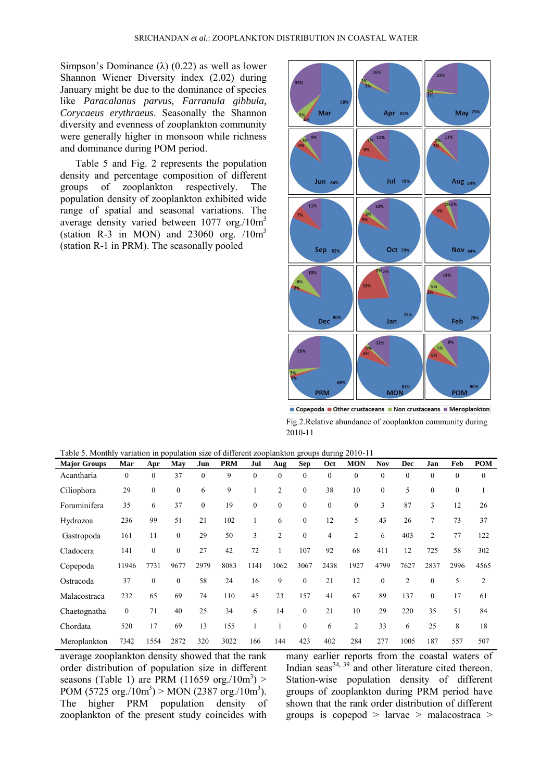Simpson's Dominance  $(\lambda)$  (0.22) as well as lower Shannon Wiener Diversity index (2.02) during January might be due to the dominance of species like *Paracalanus parvus, Farranula gibbula, Corycaeus erythraeus*. Seasonally the Shannon diversity and evenness of zooplankton community were generally higher in monsoon while richness and dominance during POM period.

 Table 5 and Fig. 2 represents the population density and percentage composition of different groups of zooplankton respectively. The population density of zooplankton exhibited wide range of spatial and seasonal variations. The average density varied between 1077 org./10m<sup>3</sup> (station R-3 in MON) and  $23060$  org.  $/10m<sup>3</sup>$ (station R-1 in PRM). The seasonally pooled



■ Copepoda ■ Other crustaceans ■ Non crustaceans ■ Meroplankton Fig.2.Relative abundance of zooplankton community during 2010-11

| <b>Major Groups</b> | Mar              | Apr              | May              | Jun      | <b>PRM</b> | Jul          | Aug            | Sep              | Oct              | <b>MON</b>   | <b>Nov</b>   | <b>Dec</b>     | Jan          | Feb          | <b>POM</b>       |
|---------------------|------------------|------------------|------------------|----------|------------|--------------|----------------|------------------|------------------|--------------|--------------|----------------|--------------|--------------|------------------|
| Acantharia          | $\boldsymbol{0}$ | $\boldsymbol{0}$ | 37               | $\theta$ | 9          | $\mathbf{0}$ | $\mathbf{0}$   | $\boldsymbol{0}$ | $\boldsymbol{0}$ | $\theta$     | $\mathbf{0}$ | $\mathbf{0}$   | $\mathbf{0}$ | $\mathbf{0}$ | $\boldsymbol{0}$ |
| Ciliophora          | 29               | $\boldsymbol{0}$ | $\boldsymbol{0}$ | 6        | 9          |              | $\overline{c}$ | $\boldsymbol{0}$ | 38               | 10           | $\mathbf{0}$ | 5              | $\mathbf{0}$ | $\mathbf{0}$ |                  |
| Foraminifera        | 35               | 6                | 37               | $\theta$ | 19         | $\mathbf{0}$ | $\mathbf{0}$   | $\boldsymbol{0}$ | $\mathbf{0}$     | $\mathbf{0}$ | 3            | 87             | 3            | 12           | 26               |
| Hydrozoa            | 236              | 99               | 51               | 21       | 102        |              | 6              | $\boldsymbol{0}$ | 12               | 5            | 43           | 26             | 7            | 73           | 37               |
| Gastropoda          | 161              | 11               | $\boldsymbol{0}$ | 29       | 50         | 3            | $\overline{c}$ | $\boldsymbol{0}$ | 4                | 2            | 6            | 403            | 2            | 77           | 122              |
| Cladocera           | 141              | $\mathbf{0}$     | $\boldsymbol{0}$ | 27       | 42         | 72           |                | 107              | 92               | 68           | 411          | 12             | 725          | 58           | 302              |
| Copepoda            | 11946            | 7731             | 9677             | 2979     | 8083       | 1141         | 1062           | 3067             | 2438             | 1927         | 4799         | 7627           | 2837         | 2996         | 4565             |
| Ostracoda           | 37               | $\mathbf{0}$     | $\theta$         | 58       | 24         | 16           | 9              | $\mathbf{0}$     | 21               | 12           | $\theta$     | $\overline{2}$ | $\mathbf{0}$ | 5            | $\overline{2}$   |
| Malacostraca        | 232              | 65               | 69               | 74       | 110        | 45           | 23             | 157              | 41               | 67           | 89           | 137            | $\mathbf{0}$ | 17           | 61               |
| Chaetognatha        | $\boldsymbol{0}$ | 71               | 40               | 25       | 34         | 6            | 14             | $\boldsymbol{0}$ | 21               | 10           | 29           | 220            | 35           | 51           | 84               |
| Chordata            | 520              | 17               | 69               | 13       | 155        |              |                | $\mathbf{0}$     | 6                | 2            | 33           | 6              | 25           | 8            | 18               |
| Meroplankton        | 7342             | 1554             | 2872             | 320      | 3022       | 166          | 144            | 423              | 402              | 284          | 277          | 1005           | 187          | 557          | 507              |

Table 5. Monthly variation in population size of different zooplankton groups during 2010-11

average zooplankton density showed that the rank order distribution of population size in different seasons (Table 1) are PRM  $(11659 \text{ org.}/10m^3)$  > POM (5725 org./10m<sup>3</sup>) > MON (2387 org./10m<sup>3</sup>). The higher PRM population density of zooplankton of the present study coincides with many earlier reports from the coastal waters of Indian seas $^{34, 39}$  and other literature cited thereon. Station-wise population density of different groups of zooplankton during PRM period have shown that the rank order distribution of different groups is copepod > larvae > malacostraca >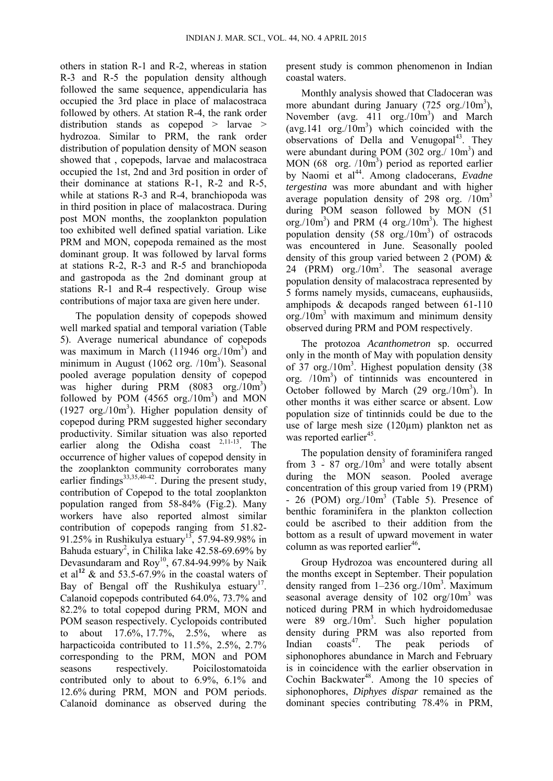others in station R-1 and R-2, whereas in station R-3 and R-5 the population density although followed the same sequence, appendicularia has occupied the 3rd place in place of malacostraca followed by others. At station R-4, the rank order distribution stands as copepod > larvae > hydrozoa. Similar to PRM, the rank order distribution of population density of MON season showed that , copepods, larvae and malacostraca occupied the 1st, 2nd and 3rd position in order of their dominance at stations R-1, R-2 and R-5, while at stations R-3 and R-4, branchiopoda was in third position in place of malacostraca. During post MON months, the zooplankton population too exhibited well defined spatial variation. Like PRM and MON, copepoda remained as the most dominant group. It was followed by larval forms at stations R-2, R-3 and R-5 and branchiopoda and gastropoda as the 2nd dominant group at stations R-1 and R-4 respectively. Group wise contributions of major taxa are given here under.

 The population density of copepods showed well marked spatial and temporal variation (Table 5). Average numerical abundance of copepods was maximum in March  $(11946 \text{ org.}/10m^3)$  and minimum in August (1062 org.  $/10m^3$ ). Seasonal pooled average population density of copepod was higher during PRM (8083 org./10m<sup>3</sup>) followed by POM  $(4565 \text{ org.}/10m^3)$  and MON  $(1927 \text{ org.}/10m^3)$ . Higher population density of copepod during PRM suggested higher secondary productivity. Similar situation was also reported earlier along the Odisha coast  $2,11-13$ . The occurrence of higher values of copepod density in the zooplankton community corroborates many earlier findings<sup>33,35,40-42</sup>. During the present study, contribution of Copepod to the total zooplankton population ranged from 58-84% (Fig.2). Many workers have also reported almost similar contribution of copepods ranging from 51.82- 91.25% in Rushikulya estuary<sup>13</sup>, 57.94-89.98% in Bahuda estuary<sup>2</sup>, in Chilika lake 42.58-69.69% by Devasundaram and Roy<sup>10</sup>, 67.84-94.99% by Naik et al<sup>12</sup>  $\&$  and 53.5-67.9% in the coastal waters of Bay of Bengal off the Rushikulya estuary<sup>17</sup>. Calanoid copepods contributed 64.0%, 73.7% and 82.2% to total copepod during PRM, MON and POM season respectively. Cyclopoids contributed to about 17.6%, 17.7%, 2.5%, where as harpacticoida contributed to 11.5%, 2.5%, 2.7% corresponding to the PRM, MON and POM seasons respectively. Poicilostomatoida contributed only to about to 6.9%, 6.1% and 12.6% during PRM, MON and POM periods. Calanoid dominance as observed during the

present study is common phenomenon in Indian coastal waters.

Monthly analysis showed that Cladoceran was more abundant during January (725 org./10m<sup>3</sup>), November (avg. 411 org./10m<sup>3</sup>) and March (avg.141  $\text{org.}/10\text{m}^3$ ) which coincided with the observations of Della and Venugopal<sup>43</sup>. They were abundant during POM (302 org./ 10m<sup>3</sup>) and MON (68 org. /10m<sup>3</sup>) period as reported earlier by Naomi et al<sup>44</sup>. Among cladocerans, *Evadne tergestina* was more abundant and with higher average population density of 298 org. /10m<sup>3</sup> during POM season followed by MON (51 org./ $10m<sup>3</sup>$ ) and PRM (4 org./ $10m<sup>3</sup>$ ). The highest population density  $(58 \text{ org.}/10m^3)$  of ostracods was encountered in June. Seasonally pooled density of this group varied between 2 (POM) & 24 (PRM) org./10m 3 . The seasonal average population density of malacostraca represented by 5 forms namely mysids, cumaceans, euphausiids, amphipods & decapods ranged between 61-110 org./10m <sup>3</sup> with maximum and minimum density observed during PRM and POM respectively.

 The protozoa *Acanthometron* sp. occurred only in the month of May with population density of 37 org./10m<sup>3</sup>. Highest population density (38 org. /10m 3 ) of tintinnids was encountered in October followed by March  $(29 \text{ org.}/10m^3)$ . In other months it was either scarce or absent. Low population size of tintinnids could be due to the use of large mesh size (120µm) plankton net as was reported earlier<sup>45</sup>.

 The population density of foraminifera ranged from  $3 - 87$  org./10 $m<sup>3</sup>$  and were totally absent during the MON season. Pooled average concentration of this group varied from 19 (PRM)  $- 26$  (POM) org./ $10m<sup>3</sup>$  (Table 5). Presence of benthic foraminifera in the plankton collection could be ascribed to their addition from the bottom as a result of upward movement in water column as was reported earlier<sup>46</sup>.

 Group Hydrozoa was encountered during all the months except in September. Their population density ranged from 1-236 org./10m<sup>3</sup>. Maximum seasonal average density of  $102 \text{ org}/10\text{m}^3$  was noticed during PRM in which hydroidomedusae were 89 org./10m<sup>3</sup>. Such higher population density during PRM was also reported from Indian coasts<sup>47</sup>. The peak periods of siphonophores abundance in March and February is in coincidence with the earlier observation in Cochin Backwater<sup>48</sup>. Among the 10 species of siphonophores, *Diphyes dispar* remained as the dominant species contributing 78.4% in PRM,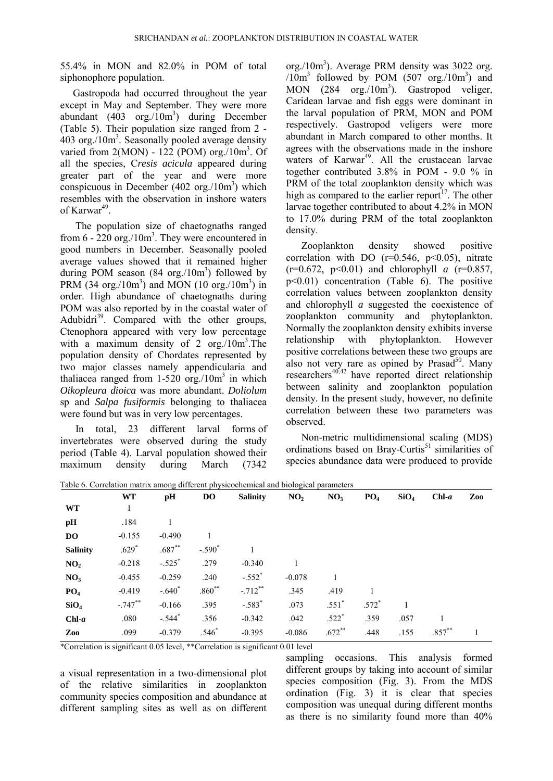55.4% in MON and 82.0% in POM of total siphonophore population.

 Gastropoda had occurred throughout the year except in May and September. They were more abundant  $(403 \text{ org.}/10m^3)$  during December (Table 5). Their population size ranged from 2 -  $403$  org./ $10m<sup>3</sup>$ . Seasonally pooled average density varied from  $2(MON) - 122$  (POM) org./ $10m<sup>3</sup>$ . Of all the species, C*resis acicula* appeared during greater part of the year and were more conspicuous in December  $(402 \text{ org.}/10m^3)$  which resembles with the observation in inshore waters of Karwar<sup>49</sup>.

 The population size of chaetognaths ranged from  $6 - 220$  org./ $10m<sup>3</sup>$ . They were encountered in good numbers in December. Seasonally pooled average values showed that it remained higher during POM season  $(84 \text{ org.}/10m^3)$  followed by PRM  $(34 \text{ org.}/10m^3)$  and MON  $(10 \text{ org.}/10m^3)$  in order. High abundance of chaetognaths during POM was also reported by in the coastal water of Adubidri<sup>39</sup>. Compared with the other groups, Ctenophora appeared with very low percentage with a maximum density of  $2 \text{ org.}/10 \text{m}^3$ . The population density of Chordates represented by two major classes namely appendicularia and thaliacea ranged from  $1-520$  org./ $10m<sup>3</sup>$  in which *Oikopleura dioica* was more abundant. *Doliolum* sp and *Salpa fusiformis* belonging to thaliacea were found but was in very low percentages.

 In total, 23 different larval forms of invertebrates were observed during the study period (Table 4). Larval population showed their maximum density during March (7342

org./10m<sup>3</sup>). Average PRM density was 3022 org.  $(10m<sup>3</sup>$  followed by POM  $(507 \text{ org.}/10m<sup>3</sup>)$  and MON (284 org./10m<sup>3</sup>). Gastropod veliger, Caridean larvae and fish eggs were dominant in the larval population of PRM, MON and POM respectively. Gastropod veligers were more abundant in March compared to other months. It agrees with the observations made in the inshore waters of Karwar<sup>49</sup>. All the crustacean larvae together contributed 3.8% in POM - 9.0 % in PRM of the total zooplankton density which was high as compared to the earlier report<sup>17</sup>. The other larvae together contributed to about 4.2% in MON to 17.0% during PRM of the total zooplankton density.

 Zooplankton density showed positive correlation with DO  $(r=0.546, p<0.05)$ , nitrate  $(r=0.672, p<0.01)$  and chlorophyll *a*  $(r=0.857, p<0.01)$ p<0.01) concentration (Table 6). The positive correlation values between zooplankton density and chlorophyll *a* suggested the coexistence of zooplankton community and phytoplankton. Normally the zooplankton density exhibits inverse relationship with phytoplankton. However positive correlations between these two groups are also not very rare as opined by Prasad<sup>50</sup>. Many researchers<sup>40,42</sup> have reported direct relationship between salinity and zooplankton population density. In the present study, however, no definite correlation between these two parameters was observed.

 Non-metric multidimensional scaling (MDS) ordinations based on Bray-Curtis<sup>51</sup> similarities of species abundance data were produced to provide

|                  | <b>WT</b>  | pH                   | <b>DO</b> | <b>Salinity</b>      | NO <sub>2</sub> | NO <sub>3</sub> | PO <sub>4</sub> | SiO <sub>4</sub> | $Chl-a$  | Zoo |
|------------------|------------|----------------------|-----------|----------------------|-----------------|-----------------|-----------------|------------------|----------|-----|
| <b>WT</b>        |            |                      |           |                      |                 |                 |                 |                  |          |     |
| pН               | .184       |                      |           |                      |                 |                 |                 |                  |          |     |
| D <sub>O</sub>   | $-0.155$   | $-0.490$             |           |                      |                 |                 |                 |                  |          |     |
| <b>Salinity</b>  | $.629*$    | $.687**$             | $-.590*$  |                      |                 |                 |                 |                  |          |     |
| NO <sub>2</sub>  | $-0.218$   | $-.525$ <sup>*</sup> | .279      | $-0.340$             |                 |                 |                 |                  |          |     |
| NO <sub>3</sub>  | $-0.455$   | $-0.259$             | .240      | $-.552$ <sup>*</sup> | $-0.078$        |                 |                 |                  |          |     |
| PO <sub>4</sub>  | $-0.419$   | $-.640*$             | $.860**$  | $-.712***$           | .345            | .419            |                 |                  |          |     |
| SiO <sub>4</sub> | $-.747***$ | $-0.166$             | .395      | $-.583*$             | .073            | $.551*$         | $.572*$         |                  |          |     |
| $Chl-a$          | .080       | $-.544$ <sup>*</sup> | .356      | $-0.342$             | .042            | $.522*$         | .359            | .057             |          |     |
| Zoo              | .099       | $-0.379$             | $.546*$   | $-0.395$             | $-0.086$        | $.672***$       | .448            | .155             | $.857**$ | 1   |

Table 6. Correlation matrix among different physicochemical and biological parameters

\*Correlation is significant 0.05 level, \*\*Correlation is significant 0.01 level

a visual representation in a two-dimensional plot of the relative similarities in zooplankton community species composition and abundance at different sampling sites as well as on different

sampling occasions. This analysis formed different groups by taking into account of similar species composition (Fig. 3). From the MDS ordination (Fig. 3) it is clear that species composition was unequal during different months as there is no similarity found more than 40%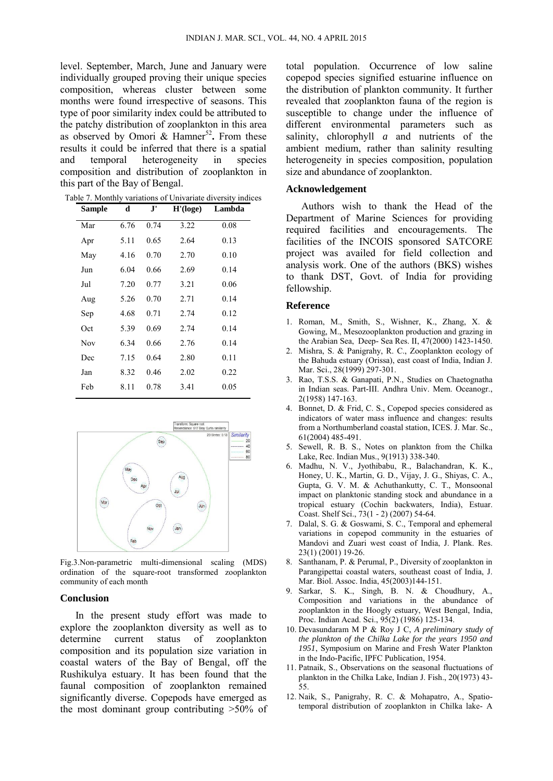level. September, March, June and January were individually grouped proving their unique species composition, whereas cluster between some months were found irrespective of seasons. This type of poor similarity index could be attributed to the patchy distribution of zooplankton in this area as observed by Omori  $\&$  Hamner<sup>52</sup>. From these results it could be inferred that there is a spatial and temporal heterogeneity in species composition and distribution of zooplankton in this part of the Bay of Bengal.

| Table 7. Monthly variations of Univariate diversity indices |  |
|-------------------------------------------------------------|--|
|-------------------------------------------------------------|--|

| <b>Sample</b> | d    | ${\bf J'}$ | H' (log e) | Lambda |
|---------------|------|------------|------------|--------|
| Mar           | 6.76 | 0.74       | 3.22       | 0.08   |
| Apr           | 5.11 | 0.65       | 2.64       | 0.13   |
| May           | 4.16 | 0.70       | 2.70       | 0.10   |
| Jun           | 6.04 | 0.66       | 2.69       | 0.14   |
| Jul           | 7.20 | 0.77       | 3.21       | 0.06   |
| Aug           | 5.26 | 0.70       | 2.71       | 0.14   |
| Sep           | 4.68 | 0.71       | 2.74       | 0.12   |
| Oct           | 5.39 | 0.69       | 2.74       | 0.14   |
| Nov           | 6.34 | 0.66       | 2.76       | 0.14   |
| Dec           | 7.15 | 0.64       | 2.80       | 0.11   |
| Jan           | 8.32 | 0.46       | 2.02       | 0.22   |
| Feb           | 8.11 | 0.78       | 3.41       | 0.05   |



Fig.3.Non-parametric multi-dimensional scaling (MDS) ordination of the square-root transformed zooplankton community of each month

#### **Conclusion**

 In the present study effort was made to explore the zooplankton diversity as well as to determine current status of zooplankton composition and its population size variation in coastal waters of the Bay of Bengal, off the Rushikulya estuary. It has been found that the faunal composition of zooplankton remained significantly diverse. Copepods have emerged as the most dominant group contributing >50% of total population. Occurrence of low saline copepod species signified estuarine influence on the distribution of plankton community. It further revealed that zooplankton fauna of the region is susceptible to change under the influence of different environmental parameters such as salinity, chlorophyll *a* and nutrients of the ambient medium, rather than salinity resulting heterogeneity in species composition, population size and abundance of zooplankton.

## **Acknowledgement**

 Authors wish to thank the Head of the Department of Marine Sciences for providing required facilities and encouragements. The facilities of the INCOIS sponsored SATCORE project was availed for field collection and analysis work. One of the authors (BKS) wishes to thank DST, Govt. of India for providing fellowship.

#### **Reference**

- 1. Roman, M., Smith, S., Wishner, K., Zhang, X. & Gowing, M., Mesozooplankton production and grazing in the Arabian Sea, Deep- Sea Res. II, 47(2000) 1423-1450.
- 2. Mishra, S. & Panigrahy, R. C., Zooplankton ecology of the Bahuda estuary (Orissa), east coast of India, Indian J. Mar. Sci., 28(1999) 297-301.
- 3. Rao, T.S.S. & Ganapati, P.N., Studies on Chaetognatha in Indian seas. Part-III. Andhra Univ. Mem. Oceanogr., 2(1958) 147-163.
- 4. Bonnet, D. & Frid, C. S., Copepod species considered as indicators of water mass influence and changes: results from a Northumberland coastal station, ICES. J. Mar. Sc., 61(2004) 485-491.
- 5. Sewell, R. B. S., Notes on plankton from the Chilka Lake, Rec. Indian Mus., 9(1913) 338-340.
- 6. Madhu, N. V., Jyothibabu, R., Balachandran, K. K., Honey, U. K., Martin, G. D., Vijay, J. G., Shiyas, C. A., Gupta, G. V. M. & Achuthankutty, C. T., Monsoonal impact on planktonic standing stock and abundance in a tropical estuary (Cochin backwaters, India), Estuar. Coast. Shelf Sci., 73(1 - 2) (2007) 54-64.
- 7. Dalal, S. G. & Goswami, S. C., Temporal and ephemeral variations in copepod community in the estuaries of Mandovi and Zuari west coast of India, J. Plank. Res. 23(1) (2001) 19-26.
- 8. Santhanam, P. & Perumal, P., Diversity of zooplankton in Parangipettai coastal waters, southeast coast of India, J. Mar. Biol. Assoc. India, 45(2003)144-151.
- 9. Sarkar, S. K., Singh, B. N. & Choudhury, A., Composition and variations in the abundance of zooplankton in the Hoogly estuary, West Bengal, India, Proc. Indian Acad. Sci., 95(2) (1986) 125-134.
- 10. Devasundaram M P & Roy J C, *A preliminary study of the plankton of the Chilka Lake for the years 1950 and 1951*, Symposium on Marine and Fresh Water Plankton in the Indo-Pacific, IPFC Publication, 1954.
- 11. Patnaik, S., Observations on the seasonal fluctuations of plankton in the Chilka Lake, Indian J. Fish., 20(1973) 43- 55.
- 12. Naik, S., Panigrahy, R. C. & Mohapatro, A., Spatiotemporal distribution of zooplankton in Chilka lake- A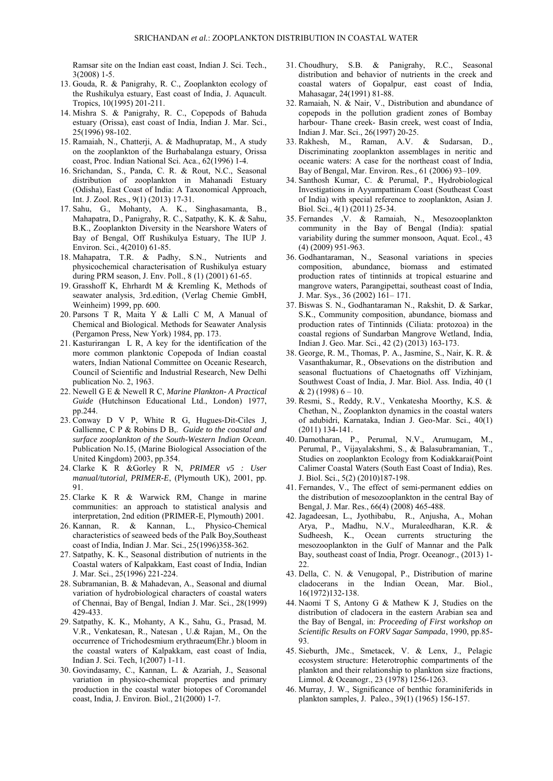Ramsar site on the Indian east coast, Indian J. Sci. Tech., 3(2008) 1-5.

- 13. Gouda, R. & Panigrahy, R. C., Zooplankton ecology of the Rushikulya estuary, East coast of India, J. Aquacult. Tropics, 10(1995) 201-211.
- 14. Mishra S. & Panigrahy, R. C., Copepods of Bahuda estuary (Orissa), east coast of India, Indian J. Mar. Sci., 25(1996) 98-102.
- 15. Ramaiah, N., Chatterji, A. & Madhupratap, M., A study on the zooplankton of the Burhabalanga estuary, Orissa coast, Proc. Indian National Sci. Aca., 62(1996) 1-4.
- 16. Srichandan, S., Panda, C. R. & Rout, N.C., Seasonal distribution of zooplankton in Mahanadi Estuary (Odisha), East Coast of India: A Taxonomical Approach, Int. J. Zool. Res., 9(1) (2013) 17-31.
- 17. Sahu, G., Mohanty, A. K., Singhasamanta, B., Mahapatra, D., Panigrahy, R. C., Satpathy, K. K. & Sahu, B.K., Zooplankton Diversity in the Nearshore Waters of Bay of Bengal, Off Rushikulya Estuary, The IUP J. Environ. Sci., 4(2010) 61-85.
- 18. Mahapatra, T.R. & Padhy, S.N., Nutrients and physicochemical characterisation of Rushikulya estuary during PRM season, J. Env. Poll., 8 (1) (2001) 61-65.
- 19. Grasshoff K, Ehrhardt M & Kremling K, Methods of seawater analysis, 3rd.edition, (Verlag Chemie GmbH, Weinheim) 1999, pp. 600.
- 20. Parsons T R, Maita Y & Lalli C M, A Manual of Chemical and Biological. Methods for Seawater Analysis (Pergamon Press, New York) 1984, pp. 173.
- 21. Kasturirangan L R, A key for the identification of the more common planktonic Copepoda of Indian coastal waters, Indian National Committee on Oceanic Research, Council of Scientific and Industrial Research, New Delhi publication No. 2, 1963.
- 22. Newell G E & Newell R C, *Marine Plankton- A Practical Guide* (Hutchinson Educational Ltd., London) 1977, pp.244.
- 23. Conway D V P, White R G, Hugues-Dit-Ciles J, Gallienne, C P & Robins D B,. *Guide to the coastal and surface zooplankton of the South-Western Indian Ocean*. Publication No.15, (Marine Biological Association of the United Kingdom) 2003, pp.354.
- 24. Clarke K R &Gorley R N, *PRIMER v5 : User manual/tutorial, PRIMER-E*, (Plymouth UK), 2001, pp. 91.
- 25. Clarke K R & Warwick RM, Change in marine communities: an approach to statistical analysis and interpretation, 2nd edition (PRIMER-E, Plymouth) 2001.
- 26. Kannan, R. & Kannan, L., Physico-Chemical characteristics of seaweed beds of the Palk Boy,Southeast coast of India, Indian J. Mar. Sci., 25(1996)358-362.
- 27. Satpathy, K. K., Seasonal distribution of nutrients in the Coastal waters of Kalpakkam, East coast of India, Indian J. Mar. Sci., 25(1996) 221-224.
- 28. Subramanian, B. & Mahadevan, A., Seasonal and diurnal variation of hydrobiological characters of coastal waters of Chennai, Bay of Bengal, Indian J. Mar. Sci., 28(1999) 429-433.
- 29. Satpathy, K. K., Mohanty, A K., Sahu, G., Prasad, M. V.R., Venkatesan, R., Natesan , U.& Rajan, M., On the occurrence of Trichodesmium erythraeum(Ehr.) bloom in the coastal waters of Kalpakkam, east coast of India, Indian J. Sci. Tech, 1(2007) 1-11.
- 30. Govindasamy, C., Kannan, L. & Azariah, J., Seasonal variation in physico-chemical properties and primary production in the coastal water biotopes of Coromandel coast, India, J. Environ. Biol., 21(2000) 1-7.
- 31. Choudhury, S.B. & Panigrahy, R.C., Seasonal distribution and behavior of nutrients in the creek and coastal waters of Gopalpur, east coast of India, Mahasagar, 24(1991) 81-88.
- 32. Ramaiah, N. & Nair, V., Distribution and abundance of copepods in the pollution gradient zones of Bombay harbour- Thane creek- Basin creek, west coast of India, Indian J. Mar. Sci., 26(1997) 20-25.
- 33. Rakhesh, M., Raman, A.V. & Sudarsan, D., Discriminating zooplankton assemblages in neritic and oceanic waters: A case for the northeast coast of India, Bay of Bengal, Mar. Environ. Res., 61 (2006) 93–109.
- 34. Santhosh Kumar, C. & Perumal, P., Hydrobiological Investigations in Ayyampattinam Coast (Southeast Coast of India) with special reference to zooplankton, Asian J. Biol. Sci., 4(1) (2011) 25-34.
- 35. Fernandes ,V. & Ramaiah, N., Mesozooplankton community in the Bay of Bengal (India): spatial variability during the summer monsoon, Aquat. Ecol., 43 (4) (2009) 951-963.
- 36. Godhantaraman, N., Seasonal variations in species composition, abundance, biomass and estimated production rates of tintinnids at tropical estuarine and mangrove waters, Parangipettai, southeast coast of India, J. Mar. Sys., 36 (2002) 161– 171.
- 37. Biswas S. N., Godhantaraman N., Rakshit, D. & Sarkar, S.K., Community composition, abundance, biomass and production rates of Tintinnids (Ciliata: protozoa) in the coastal regions of Sundarban Mangrove Wetland, India, Indian J. Geo. Mar. Sci., 42 (2) (2013) 163-173.
- 38. George, R. M., Thomas, P. A., Jasmine, S., Nair, K. R. & Vasanthakumar, R., Obsevations on the distribution and seasonal fluctuations of Chaetognaths off Vizhinjam, Southwest Coast of India, J. Mar. Biol. Ass. India, 40 (1  $& 2)$  (1998) 6 – 10.
- 39. Resmi, S., Reddy, R.V., Venkatesha Moorthy, K.S. & Chethan, N., Zooplankton dynamics in the coastal waters of adubidri, Karnataka, Indian J. Geo-Mar. Sci., 40(1) (2011) 134-141.
- 40. Damotharan, P., Perumal, N.V., Arumugam, M., Perumal, P., Vijayalakshmi, S., & Balasubramanian, T., Studies on zooplankton Ecology from Kodiakkarai(Point Calimer Coastal Waters (South East Coast of India), Res. J. Biol. Sci., 5(2) (2010)187-198.
- 41. Fernandes, V., The effect of semi-permanent eddies on the distribution of mesozooplankton in the central Bay of Bengal, J. Mar. Res., 66(4) (2008) 465-488.
- 42. Jagadeesan, L., Jyothibabu, R., Anjusha, A., Mohan Arya, P., Madhu, N.V., Muraleedharan, K.R. & Sudheesh, K., Ocean currents structuring the mesozooplankton in the Gulf of Mannar and the Palk Bay, southeast coast of India, Progr. Oceanogr., (2013) 1- 22.
- 43. Della, C. N. & Venugopal, P., Distribution of marine cladocerans in the Indian Ocean, Mar. Biol., 16(1972)132-138.
- 44. Naomi T S, Antony G & Mathew K J, Studies on the distribution of cladocera in the eastern Arabian sea and the Bay of Bengal, in: *Proceeding of First workshop on Scientific Results on FORV Sagar Sampada*, 1990, pp.85- 93.
- 45. Sieburth, JMc., Smetacek, V. & Lenx, J., Pelagic ecosystem structure: Heterotrophic compartments of the plankton and their relationship to plankton size fractions, Limnol. & Oceanogr., 23 (1978) 1256-1263.
- 46. Murray, J. W., Significance of benthic foraminiferids in plankton samples, J. Paleo., 39(1) (1965) 156-157.